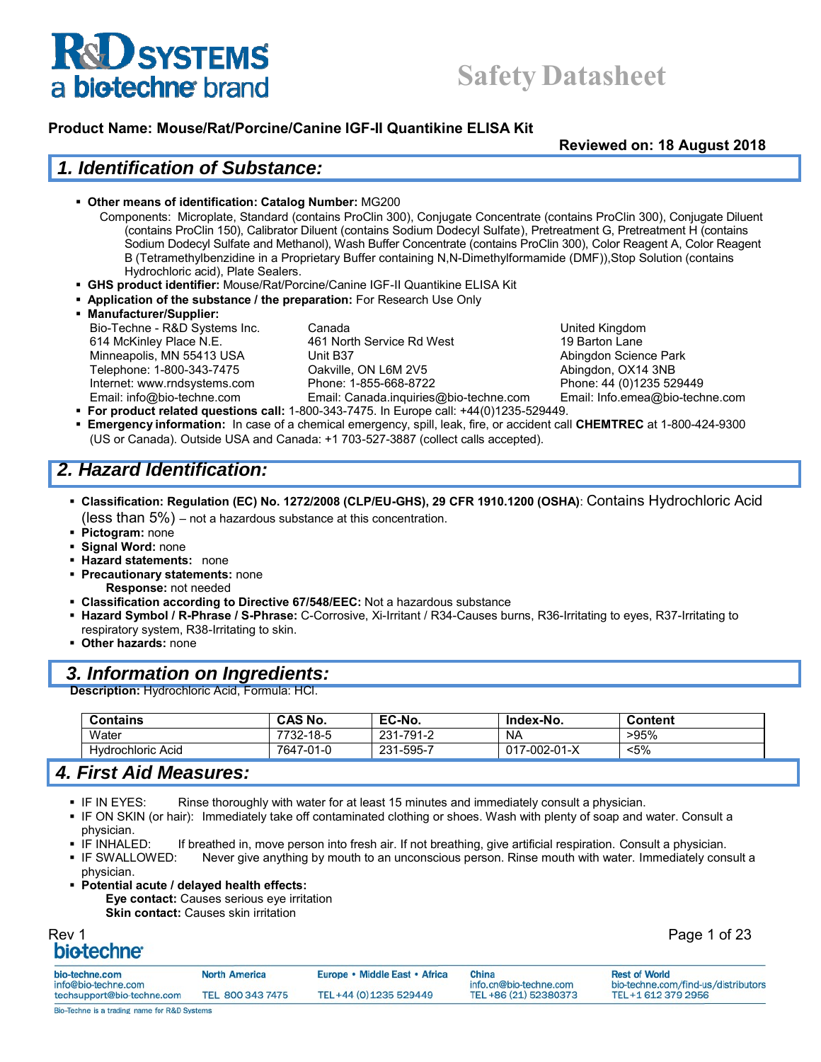## **Safety Datasheet**

#### **Product Name: Mouse/Rat/Porcine/Canine IGF-II Quantikine ELISA Kit**

**Reviewed on: 18 August 2018**

#### *1. Identification of Substance:*

- **Other means of identification: Catalog Number:** MG200
	- Components: Microplate, Standard (contains ProClin 300), Conjugate Concentrate (contains ProClin 300), Conjugate Diluent (contains ProClin 150), Calibrator Diluent (contains Sodium Dodecyl Sulfate), Pretreatment G, Pretreatment H (contains Sodium Dodecyl Sulfate and Methanol), Wash Buffer Concentrate (contains ProClin 300), Color Reagent A, Color Reagent B (Tetramethylbenzidine in a Proprietary Buffer containing N,N-Dimethylformamide (DMF)),Stop Solution (contains Hydrochloric acid), Plate Sealers.
- **GHS product identifier:** Mouse/Rat/Porcine/Canine IGF-II Quantikine ELISA Kit
- **Application of the substance / the preparation:** For Research Use Only
- **Manufacturer/Supplier:** Bio-Techne - R&D Systems Inc. Canada New York Canada United Kingdom 614 McKinley Place N.E. 461 North Service Rd West 19 Barton Lane Minneapolis, MN 55413 USA Unit B37 Abingdon Science Park Telephone: 1-800-343-7475 Qakville, ON L6M 2V5 Quarticle Abingdon, OX14 3NB Internet: www.rndsystems.com Phone: 1-855-668-8722 Phone: 44 (0)1235 529449

Email: info@bio-techne.com Email: Canada.inquiries@bio-techne.com Email: Info.emea@bio-techne.com

- **For product related questions call:** 1-800-343-7475. In Europe call: +44(0)1235-529449.
- **Emergency information:** In case of a chemical emergency, spill, leak, fire, or accident call **CHEMTREC** at 1-800-424-9300 (US or Canada). Outside USA and Canada: +1 703-527-3887 (collect calls accepted).

### *2. Hazard Identification:*

- **Classification: Regulation (EC) No. 1272/2008 (CLP/EU-GHS), 29 CFR 1910.1200 (OSHA)**: Contains Hydrochloric Acid (less than 5%) – not a hazardous substance at this concentration.
- **Pictogram:** none
- **Signal Word:** none
- **Hazard statements:** none
- **Precautionary statements:** none **Response:** not needed
- **Classification according to Directive 67/548/EEC:** Not a hazardous substance
- **Hazard Symbol / R-Phrase / S-Phrase:** C-Corrosive, Xi-Irritant / R34-Causes burns, R36-Irritating to eyes, R37-Irritating to respiratory system, R38-Irritating to skin.
- **Other hazards:** none

#### *3. Information on Ingredients:*

**Description:** Hydrochloric Acid, Formula: HCl.

| <b>Contains</b>      | <b>CAS No.</b> | EC-No.    | Index-No.    | Content |
|----------------------|----------------|-----------|--------------|---------|
| Water                | 7732-18-5      | 231-791-2 | <b>NA</b>    | >95%    |
| Acid<br>Hydrochloric | 7647-01-0      | 231-595-7 | 017-002-01-X | $< 5\%$ |

#### *4. First Aid Measures:*

- IF IN EYES: Rinse thoroughly with water for at least 15 minutes and immediately consult a physician.
- IF ON SKIN (or hair): Immediately take off contaminated clothing or shoes. Wash with plenty of soap and water. Consult a physician.
- **IF INHALED:** If breathed in, move person into fresh air. If not breathing, give artificial respiration. Consult a physician.
- IF SWALLOWED: Never give anything by mouth to an unconscious person. Rinse mouth with water. Immediately consult a physician.
- **Potential acute / delayed health effects: Eye contact:** Causes serious eye irritation **Skin contact: Causes skin irritation**

## Rev 1 Page 1 of 23

| bio-techne.com                               | <b>North America</b> | Europe • Middle East • Africa | China                  | <b>Rest of World</b>                |
|----------------------------------------------|----------------------|-------------------------------|------------------------|-------------------------------------|
| info@bio-techne.com                          |                      |                               | info.cn@bio-techne.com | bio-techne.com/find-us/distributors |
| techsupport@bio-techne.com                   | TEL 800 343 7475     | TEL+44 (0) 1235 529449        | TEL +86 (21) 52380373  | TEL+1 612 379 2956                  |
| Bio-Techne is a trading name for R&D Systems |                      |                               |                        |                                     |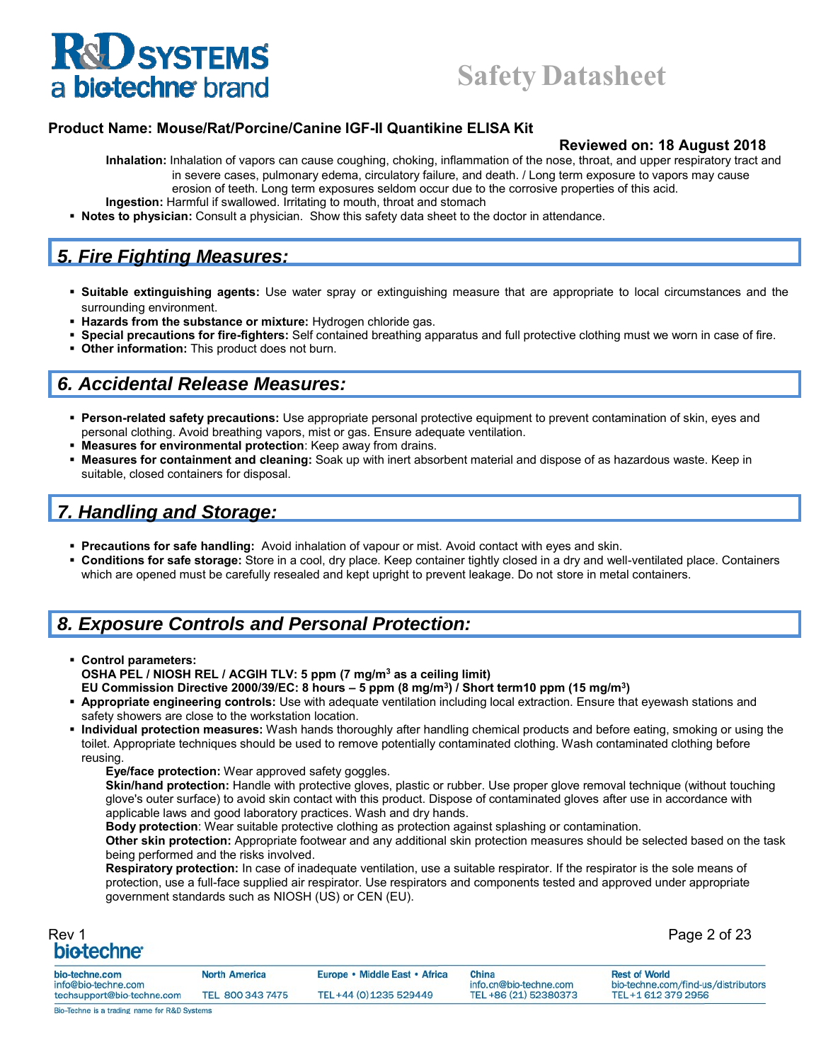#### **Product Name: Mouse/Rat/Porcine/Canine IGF-II Quantikine ELISA Kit**

#### **Reviewed on: 18 August 2018**

**Inhalation:** Inhalation of vapors can cause coughing, choking, inflammation of the nose, throat, and upper respiratory tract and in severe cases, pulmonary edema, circulatory failure, and death. / Long term exposure to vapors may cause erosion of teeth. Long term exposures seldom occur due to the corrosive properties of this acid.

- **Ingestion:** Harmful if swallowed. Irritating to mouth, throat and stomach
- **Notes to physician:** Consult a physician. Show this safety data sheet to the doctor in attendance.

### *5. Fire Fighting Measures:*

- **Suitable extinguishing agents:** Use water spray or extinguishing measure that are appropriate to local circumstances and the surrounding environment.
- **Hazards from the substance or mixture:** Hydrogen chloride gas.
- **Special precautions for fire-fighters:** Self contained breathing apparatus and full protective clothing must we worn in case of fire.
- **Other information:** This product does not burn.

#### *6. Accidental Release Measures:*

- **Person-related safety precautions:** Use appropriate personal protective equipment to prevent contamination of skin, eyes and personal clothing. Avoid breathing vapors, mist or gas. Ensure adequate ventilation.
- **Measures for environmental protection**: Keep away from drains.
- **Measures for containment and cleaning:** Soak up with inert absorbent material and dispose of as hazardous waste. Keep in suitable, closed containers for disposal.

## *7. Handling and Storage:*

- **Precautions for safe handling:** Avoid inhalation of vapour or mist. Avoid contact with eyes and skin.
- **Conditions for safe storage:** Store in a cool, dry place. Keep container tightly closed in a dry and well-ventilated place. Containers which are opened must be carefully resealed and kept upright to prevent leakage. Do not store in metal containers.

## *8. Exposure Controls and Personal Protection:*

- **Control parameters: OSHA PEL / NIOSH REL / ACGIH TLV: 5 ppm (7 mg/m3 as a ceiling limit) EU Commission Directive 2000/39/EC: 8 hours – 5 ppm (8 mg/m3) / Short term10 ppm (15 mg/m3)**
- **Appropriate engineering controls:** Use with adequate ventilation including local extraction. Ensure that eyewash stations and safety showers are close to the workstation location.
- **Individual protection measures:** Wash hands thoroughly after handling chemical products and before eating, smoking or using the toilet. Appropriate techniques should be used to remove potentially contaminated clothing. Wash contaminated clothing before reusing.
	- **Eye/face protection:** Wear approved safety goggles.

**Skin/hand protection:** Handle with protective gloves, plastic or rubber. Use proper glove removal technique (without touching glove's outer surface) to avoid skin contact with this product. Dispose of contaminated gloves after use in accordance with applicable laws and good laboratory practices. Wash and dry hands.

**Body protection**: Wear suitable protective clothing as protection against splashing or contamination.

**Other skin protection:** Appropriate footwear and any additional skin protection measures should be selected based on the task being performed and the risks involved.

**Respiratory protection:** In case of inadequate ventilation, use a suitable respirator. If the respirator is the sole means of protection, use a full-face supplied air respirator. Use respirators and components tested and approved under appropriate government standards such as NIOSH (US) or CEN (EU).

| Rev 1                   |  |
|-------------------------|--|
| bio-techne <sup>®</sup> |  |

Page 2 of 23

| bio-techne.com<br>info@bio-techne.com        | <b>North America</b> | Europe • Middle East • Africa | China<br>info.cn@bio-techne.com | <b>Rest of World</b><br>bio-techne.com/find-us/distributors |
|----------------------------------------------|----------------------|-------------------------------|---------------------------------|-------------------------------------------------------------|
| techsupport@bio-techne.com                   | TEL 800 343 7475     | TEL+44 (0) 1235 529449        | TEL +86 (21) 52380373           | TEL+1 612 379 2956                                          |
| Bio-Techne is a trading name for R&D Systems |                      |                               |                                 |                                                             |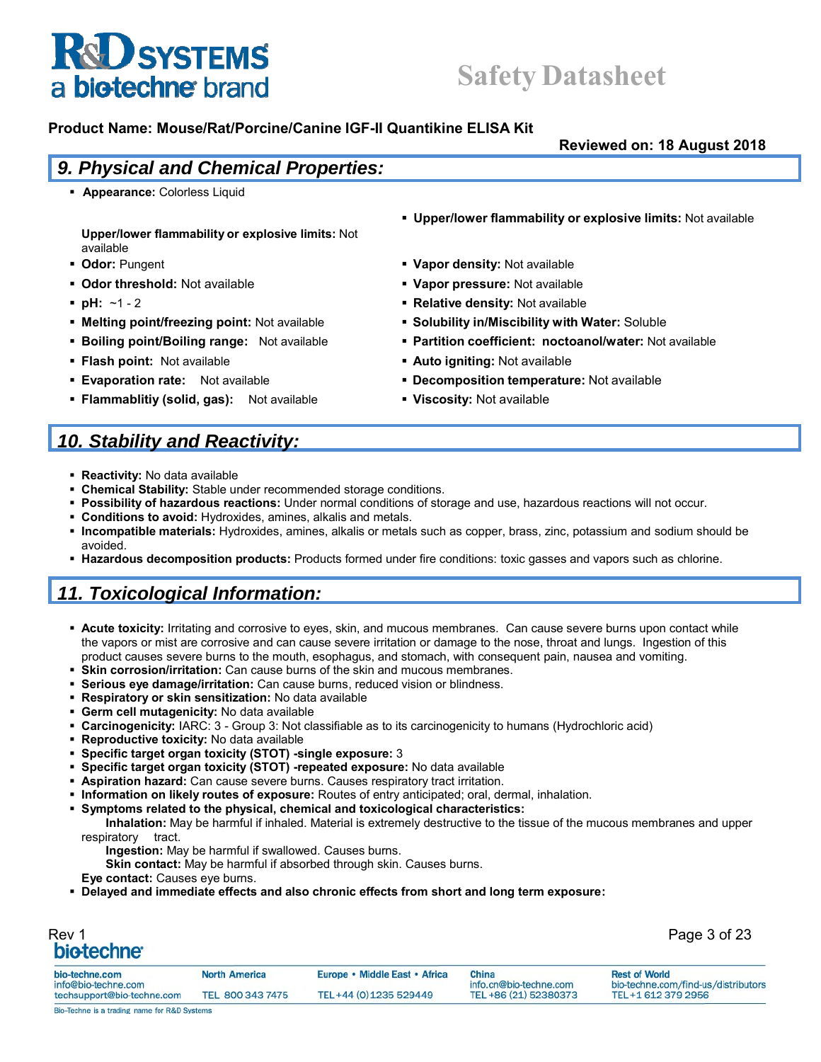## **Safety Datasheet**

#### **Product Name: Mouse/Rat/Porcine/Canine IGF-II Quantikine ELISA Kit**

**Reviewed on: 18 August 2018**

#### *9. Physical and Chemical Properties:*

**Appearance: Colorless Liquid** 

**Upper/lower flammability or explosive limits:** Not available

- 
- **Definition of threshold:** Not available **Vapor pressure:** Not available **Vapor pressure:** Not available
- 
- 
- 
- 
- 
- **Flammablitiy (solid, gas):** Not available **Viscosity:** Not available
- **Upper/lower flammability or explosive limits:** Not available
- **Definition of the Contract of Contract Automobile 10 and 20 and 20 and 20 and 20 and 20 and 20 and 20 and 20 and 20 and 20 and 20 and 20 and 20 and 20 and 20 and 20 and 20 and 20 and 20 and 20 and 20 and 20 and 20 and 20** 
	-
- **pH:**  $\sim$ 1 2 **Relative density:** Not available
- **Melting point/freezing point:** Not available **Solubility in/Miscibility with Water:** Soluble
- **Boiling point/Boiling range:** Not available **Partition coefficient: noctoanol/water:** Not available
- **Flash point:** Not available **Auto igniting: Not available Auto igniting: Not available**
- **Evaporation rate:** Not available **Decomposition temperature:** Not available

TEL +86 (21) 52380373

## *10. Stability and Reactivity:*

- **Reactivity:** No data available
- **Chemical Stability:** Stable under recommended storage conditions.
- **Possibility of hazardous reactions:** Under normal conditions of storage and use, hazardous reactions will not occur.
- **Conditions to avoid:** Hydroxides, amines, alkalis and metals.
- **Incompatible materials:** Hydroxides, amines, alkalis or metals such as copper, brass, zinc, potassium and sodium should be avoided.
- **Hazardous decomposition products:** Products formed under fire conditions: toxic gasses and vapors such as chlorine.

## *11. Toxicological Information:*

- **Acute toxicity:** Irritating and corrosive to eyes, skin, and mucous membranes. Can cause severe burns upon contact while the vapors or mist are corrosive and can cause severe irritation or damage to the nose, throat and lungs. Ingestion of this product causes severe burns to the mouth, esophagus, and stomach, with consequent pain, nausea and vomiting.
- **Skin corrosion/irritation:** Can cause burns of the skin and mucous membranes.
- **Serious eye damage/irritation:** Can cause burns, reduced vision or blindness.
- **Respiratory or skin sensitization:** No data available
- **Germ cell mutagenicity:** No data available
- **Carcinogenicity:** IARC: 3 Group 3: Not classifiable as to its carcinogenicity to humans (Hydrochloric acid)
- **Reproductive toxicity:** No data available
- **Specific target organ toxicity (STOT) -single exposure:** 3
- **Specific target organ toxicity (STOT) -repeated exposure:** No data available
- **Aspiration hazard:** Can cause severe burns. Causes respiratory tract irritation.
- **Information on likely routes of exposure:** Routes of entry anticipated; oral, dermal, inhalation.
- **Symptoms related to the physical, chemical and toxicological characteristics:**

**Inhalation:** May be harmful if inhaled. Material is extremely destructive to the tissue of the mucous membranes and upper respiratory tract.

**Ingestion:** May be harmful if swallowed. Causes burns.

TEL 800 343 7475

**Skin contact:** May be harmful if absorbed through skin. Causes burns.

**Eye contact:** Causes eye burns.

techsupport@bio-techne.com

**Delayed and immediate effects and also chronic effects from short and long term exposure:**

| Rev 1<br>bio-techne <sup>®</sup>      |                      |                               |                                 | Page 3 of 23                                              |
|---------------------------------------|----------------------|-------------------------------|---------------------------------|-----------------------------------------------------------|
| bio-techne.com<br>info@bio-techne.com | <b>North America</b> | Europe • Middle East • Africa | China<br>info.cn@bio-techne.com | <b>Rest of World</b><br>bio-techne.com/find-us/distribute |

TEL+44 (0) 1235 529449

bio-techne.com/find-us/distributors TEL+1 612 379 2956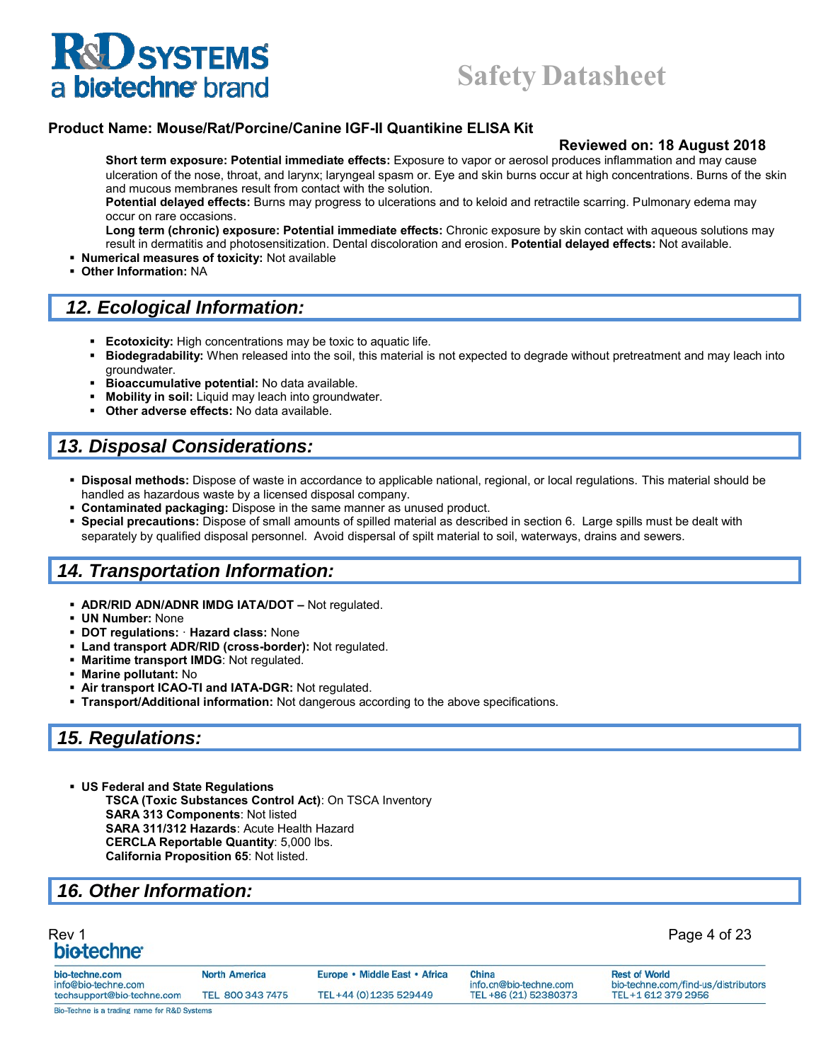## **Safety Datasheet**

#### **Product Name: Mouse/Rat/Porcine/Canine IGF-II Quantikine ELISA Kit**

#### **Reviewed on: 18 August 2018**

**Short term exposure: Potential immediate effects:** Exposure to vapor or aerosol produces inflammation and may cause ulceration of the nose, throat, and larynx; laryngeal spasm or. Eye and skin burns occur at high concentrations. Burns of the skin and mucous membranes result from contact with the solution.

**Potential delayed effects:** Burns may progress to ulcerations and to keloid and retractile scarring. Pulmonary edema may occur on rare occasions.

**Long term (chronic) exposure: Potential immediate effects:** Chronic exposure by skin contact with aqueous solutions may result in dermatitis and photosensitization. Dental discoloration and erosion. **Potential delayed effects:** Not available.

- **Numerical measures of toxicity:** Not available
- **Other Information:** NA

#### *12. Ecological Information:*

- **Ecotoxicity:** High concentrations may be toxic to aquatic life.
- **Biodegradability:** When released into the soil, this material is not expected to degrade without pretreatment and may leach into groundwater.
- **Bioaccumulative potential:** No data available.
- **Mobility in soil:** Liquid may leach into groundwater.
- **Other adverse effects:** No data available.

#### *13. Disposal Considerations:*

- **Disposal methods:** Dispose of waste in accordance to applicable national, regional, or local regulations. This material should be handled as hazardous waste by a licensed disposal company.
- **Contaminated packaging:** Dispose in the same manner as unused product.
- **Special precautions:** Dispose of small amounts of spilled material as described in section 6. Large spills must be dealt with separately by qualified disposal personnel. Avoid dispersal of spilt material to soil, waterways, drains and sewers.

### *14. Transportation Information:*

- **ADR/RID ADN/ADNR IMDG IATA/DOT** Not regulated.
- **UN Number:** None
- **DOT regulations:** · **Hazard class:** None
- **Land transport ADR/RID (cross-border):** Not regulated.
- **Maritime transport IMDG**: Not regulated.
- **Marine pollutant:** No
- **Air transport ICAO-TI and IATA-DGR:** Not regulated.
- **Transport/Additional information:** Not dangerous according to the above specifications.

#### *15. Regulations:*

 **US Federal and State Regulations TSCA (Toxic Substances Control Act)**: On TSCA Inventory **SARA 313 Components**: Not listed **SARA 311/312 Hazards**: Acute Health Hazard **CERCLA Reportable Quantity**: 5,000 lbs. **California Proposition 65**: Not listed.

#### *16. Other Information:*

## Rev 1 Page 4 of 23

| bio-techne.com                                    | <b>North America</b> | Europe • Middle East • Africa | China                                           | <b>Rest of World</b>                                      |
|---------------------------------------------------|----------------------|-------------------------------|-------------------------------------------------|-----------------------------------------------------------|
| info@bio-techne.com<br>techsupport@bio-techne.com | TEL 800 343 7475     | TEL+44 (0) 1235 529449        | info.cn@bio-techne.com<br>TEL +86 (21) 52380373 | bio-techne.com/find-us/distributors<br>TEL+1 612 379 2956 |
| Bio-Techne is a trading name for R&D Systems      |                      |                               |                                                 |                                                           |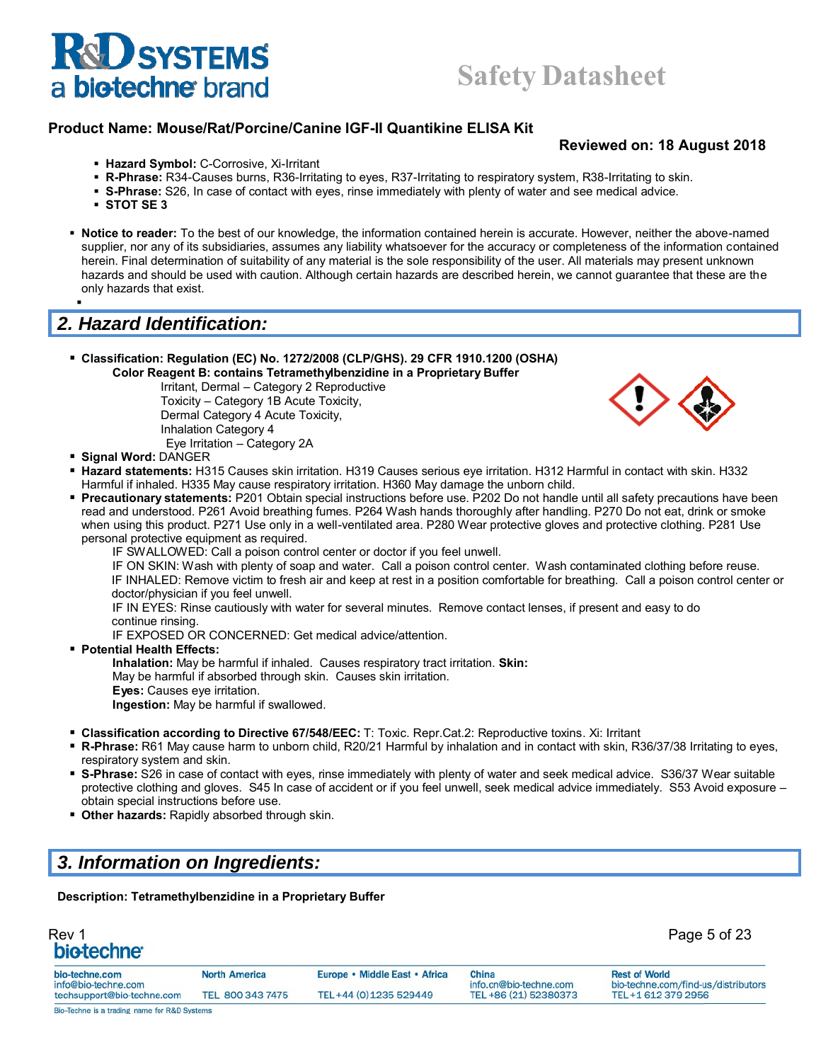

#### **Reviewed on: 18 August 2018**

- **Hazard Symbol:** C-Corrosive, Xi-Irritant
- **R-Phrase:** R34-Causes burns, R36-Irritating to eyes, R37-Irritating to respiratory system, R38-Irritating to skin.
- **S-Phrase:** S26, In case of contact with eyes, rinse immediately with plenty of water and see medical advice.
- **STOT SE 3**

н.

 **Notice to reader:** To the best of our knowledge, the information contained herein is accurate. However, neither the above-named supplier, nor any of its subsidiaries, assumes any liability whatsoever for the accuracy or completeness of the information contained herein. Final determination of suitability of any material is the sole responsibility of the user. All materials may present unknown hazards and should be used with caution. Although certain hazards are described herein, we cannot guarantee that these are the only hazards that exist.

## *2. Hazard Identification:*

 **Classification: Regulation (EC) No. 1272/2008 (CLP/GHS). 29 CFR 1910.1200 (OSHA) Color Reagent B: contains Tetramethylbenzidine in a Proprietary Buffer**

Irritant, Dermal – Category 2 Reproductive Toxicity – Category 1B Acute Toxicity, Dermal Category 4 Acute Toxicity, Inhalation Category 4 Eye Irritation – Category 2A



- **Signal Word:** DANGER
- **Hazard statements:** H315 Causes skin irritation. H319 Causes serious eye irritation. H312 Harmful in contact with skin. H332 Harmful if inhaled. H335 May cause respiratory irritation. H360 May damage the unborn child.
- **Precautionary statements: P201 Obtain special instructions before use. P202 Do not handle until all safety precautions have been** read and understood. P261 Avoid breathing fumes. P264 Wash hands thoroughly after handling. P270 Do not eat, drink or smoke when using this product. P271 Use only in a well-ventilated area. P280 Wear protective gloves and protective clothing. P281 Use personal protective equipment as required.

IF SWALLOWED: Call a poison control center or doctor if you feel unwell.

IF ON SKIN: Wash with plenty of soap and water. Call a poison control center. Wash contaminated clothing before reuse.

IF INHALED: Remove victim to fresh air and keep at rest in a position comfortable for breathing. Call a poison control center or doctor/physician if you feel unwell.

IF IN EYES: Rinse cautiously with water for several minutes. Remove contact lenses, if present and easy to do continue rinsing.

IF EXPOSED OR CONCERNED: Get medical advice/attention.

**Potential Health Effects:**

**Inhalation:** May be harmful if inhaled. Causes respiratory tract irritation. **Skin:**

May be harmful if absorbed through skin. Causes skin irritation.

**Eyes:** Causes eye irritation.

**Ingestion:** May be harmful if swallowed.

- **Classification according to Directive 67/548/EEC:** T: Toxic. Repr.Cat.2: Reproductive toxins. Xi: Irritant
- **R-Phrase:** R61 May cause harm to unborn child, R20/21 Harmful by inhalation and in contact with skin, R36/37/38 Irritating to eyes, respiratory system and skin.
- **S-Phrase:** S26 in case of contact with eyes, rinse immediately with plenty of water and seek medical advice. S36/37 Wear suitable protective clothing and gloves. S45 In case of accident or if you feel unwell, seek medical advice immediately. S53 Avoid exposure – obtain special instructions before use.
- **Other hazards: Rapidly absorbed through skin.**

### *3. Information on Ingredients:*

**Description: Tetramethylbenzidine in a Proprietary Buffer**

| Rev 1                   | Page 5 of 23 |
|-------------------------|--------------|
| bio-techne <sup>®</sup> |              |

| bio-techne.com<br>info@bio-techne.com        | <b>North America</b> | Europe • Middle East • Africa | China<br>info.cn@bio-techne.com | <b>Rest of World</b><br>bio-techne.com/find-us/distributors |
|----------------------------------------------|----------------------|-------------------------------|---------------------------------|-------------------------------------------------------------|
| techsupport@bio-techne.com                   | TEL 800 343 7475     | TEL+44 (0) 1235 529449        | TEL +86 (21) 52380373           | TEL+1 612 379 2956                                          |
| Bio-Techne is a trading name for R&D Systems |                      |                               |                                 |                                                             |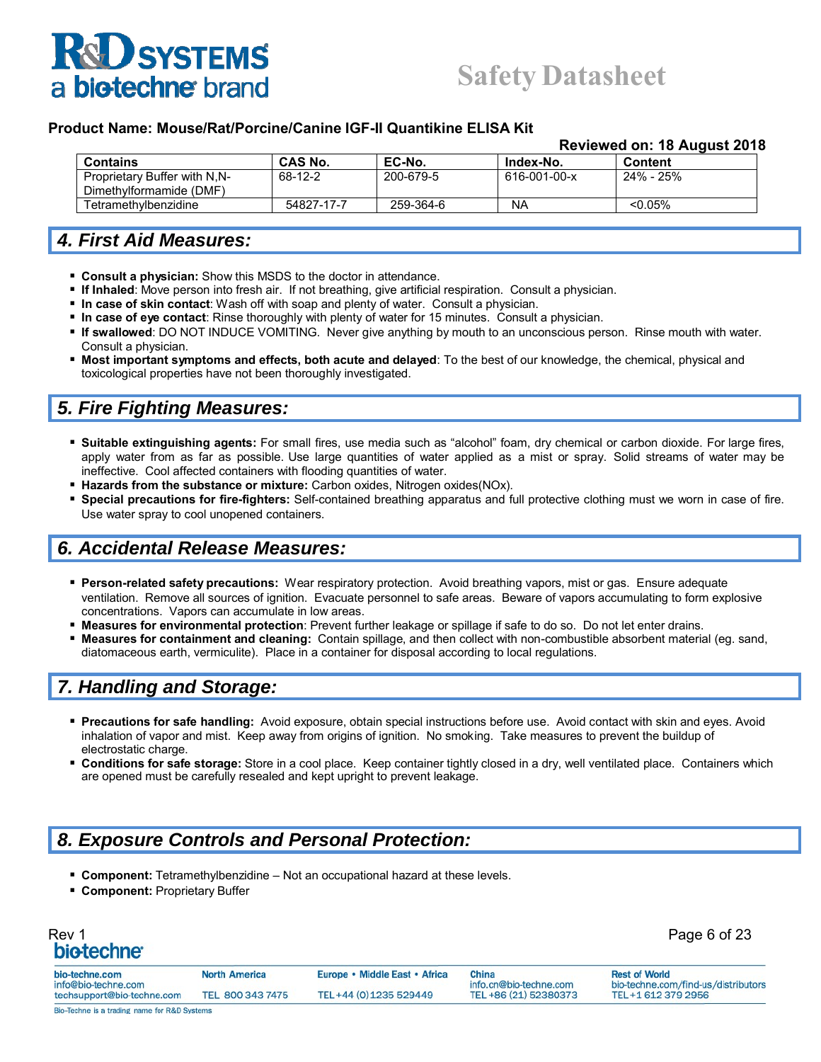## **Safety Datasheet**

#### **Product Name: Mouse/Rat/Porcine/Canine IGF-II Quantikine ELISA Kit**

#### **Reviewed on: 18 August 2018**

| <b>CAS No.</b> | EC-No.    | Index-No.    | Content    |  |
|----------------|-----------|--------------|------------|--|
| 68-12-2        | 200-679-5 | 616-001-00-x | 24% - 25%  |  |
|                |           |              |            |  |
| 54827-17-7     | 259-364-6 | NA           | $< 0.05\%$ |  |
|                |           |              |            |  |

#### *4. First Aid Measures:*

- **Consult a physician:** Show this MSDS to the doctor in attendance.
- **If Inhaled**: Move person into fresh air. If not breathing, give artificial respiration. Consult a physician.
- **In case of skin contact**: Wash off with soap and plenty of water. Consult a physician.
- **In case of eye contact**: Rinse thoroughly with plenty of water for 15 minutes. Consult a physician.
- **If swallowed**: DO NOT INDUCE VOMITING. Never give anything by mouth to an unconscious person. Rinse mouth with water. Consult a physician.
- **Most important symptoms and effects, both acute and delayed**: To the best of our knowledge, the chemical, physical and toxicological properties have not been thoroughly investigated.

## *5. Fire Fighting Measures:*

- **Suitable extinguishing agents:** For small fires, use media such as "alcohol" foam, dry chemical or carbon dioxide. For large fires, apply water from as far as possible. Use large quantities of water applied as a mist or spray. Solid streams of water may be ineffective. Cool affected containers with flooding quantities of water.
- **Hazards from the substance or mixture:** Carbon oxides, Nitrogen oxides(NOx).
- **Special precautions for fire-fighters:** Self-contained breathing apparatus and full protective clothing must we worn in case of fire. Use water spray to cool unopened containers.

### *6. Accidental Release Measures:*

- **Person-related safety precautions:** Wear respiratory protection. Avoid breathing vapors, mist or gas. Ensure adequate ventilation. Remove all sources of ignition. Evacuate personnel to safe areas. Beware of vapors accumulating to form explosive concentrations. Vapors can accumulate in low areas.
- **Measures for environmental protection**: Prevent further leakage or spillage if safe to do so. Do not let enter drains.
- **Measures for containment and cleaning:** Contain spillage, and then collect with non-combustible absorbent material (eg. sand, diatomaceous earth, vermiculite). Place in a container for disposal according to local regulations.

### *7. Handling and Storage:*

- **Precautions for safe handling:** Avoid exposure, obtain special instructions before use. Avoid contact with skin and eyes. Avoid inhalation of vapor and mist. Keep away from origins of ignition. No smoking. Take measures to prevent the buildup of electrostatic charge.
- **Conditions for safe storage:** Store in a cool place. Keep container tightly closed in a dry, well ventilated place. Containers which are opened must be carefully resealed and kept upright to prevent leakage.

#### *8. Exposure Controls and Personal Protection:*

- **Component:** Tetramethylbenzidine Not an occupational hazard at these levels.
- **Component: Proprietary Buffer**

| Rev 1<br>bio-techne <sup>®</sup> | Page 6 of 23         |                               |                        |                                     |
|----------------------------------|----------------------|-------------------------------|------------------------|-------------------------------------|
| bio-techne.com                   | <b>North America</b> | Europe • Middle East • Africa | China                  | <b>Rest of World</b>                |
| info@bio-techne.com              |                      |                               | info.cn@bio-techne.com | bio-techne.com/find-us/distributors |
| techsupport@bio-techne.com       | TEL 800 343 7475     | TEL+44 (0) 1235 529449        | TEL +86 (21) 52380373  | TEL+1 612 379 2956                  |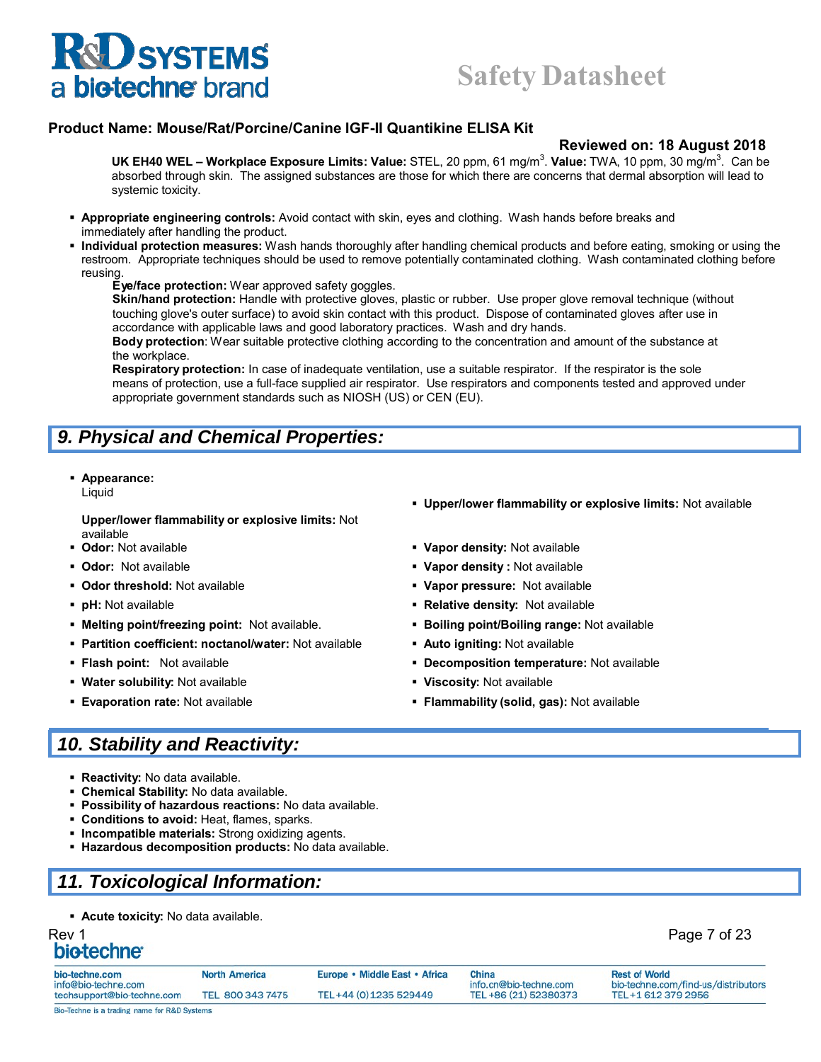## **Safety Datasheet**

#### **Product Name: Mouse/Rat/Porcine/Canine IGF-II Quantikine ELISA Kit**

#### **Reviewed on: 18 August 2018**

UK EH40 WEL – Workplace Exposure Limits: Value: STEL, 20 ppm, 61 mg/m<sup>3</sup>. Value: TWA, 10 ppm, 30 mg/m<sup>3</sup>. Can be absorbed through skin. The assigned substances are those for which there are concerns that dermal absorption will lead to systemic toxicity.

- **Appropriate engineering controls:** Avoid contact with skin, eyes and clothing. Wash hands before breaks and immediately after handling the product.
- **Individual protection measures:** Wash hands thoroughly after handling chemical products and before eating, smoking or using the restroom. Appropriate techniques should be used to remove potentially contaminated clothing. Wash contaminated clothing before reusing.

#### **Eye/face protection:** Wear approved safety goggles.

**Skin/hand protection:** Handle with protective gloves, plastic or rubber. Use proper glove removal technique (without touching glove's outer surface) to avoid skin contact with this product. Dispose of contaminated gloves after use in accordance with applicable laws and good laboratory practices. Wash and dry hands.

**Body protection**: Wear suitable protective clothing according to the concentration and amount of the substance at the workplace.

**Respiratory protection:** In case of inadequate ventilation, use a suitable respirator. If the respirator is the sole means of protection, use a full-face supplied air respirator. Use respirators and components tested and approved under appropriate government standards such as NIOSH (US) or CEN (EU).

## *9. Physical and Chemical Properties:*

#### **Appearance:**

Liquid

**Upper/lower flammability or explosive limits:** Not

- available<br>**Odor:** Not available
- 
- 
- 
- **Melting point/freezing point:** Not available. **Boiling point/Boiling range:** Not available
- **Partition coefficient: noctanol/water: Not available <b>Auto igniting: Not available Partition**
- 
- **Water solubility:** Not available **Viscosity:** Not available
- 
- **Upper/lower flammability or explosive limits:** Not available
- **Odor:** Not available **Vapor density:** Not available
- **Odor:** Not available **Vapor density :** Not available
- **Odor threshold:** Not available **Vapor pressure:** Not available
- **pH:** Not available **Relative density:** Not available
	-
	-
- **Flash point:** Not available **Decomposition temperature:** Not available
	-
- **Evaporation rate:** Not available **Flammability (solid, gas):** Not available

## *10. Stability and Reactivity:*

- **Reactivity:** No data available.
- **Chemical Stability:** No data available.
- **Possibility of hazardous reactions:** No data available.
- **Conditions to avoid:** Heat, flames, sparks.
- **Incompatible materials:** Strong oxidizing agents.
- **Hazardous decomposition products:** No data available.

### *11. Toxicological Information:*

**Acute toxicity:** No data available.

## Rev 1 Page 7 of 23

| bio-techne.com                                    | <b>North America</b> | Europe • Middle East • Africa | China                                           | <b>Rest of World</b>                                      |
|---------------------------------------------------|----------------------|-------------------------------|-------------------------------------------------|-----------------------------------------------------------|
| info@bio-techne.com<br>techsupport@bio-techne.com | TEL 800 343 7475     | TEL+44 (0) 1235 529449        | info.cn@bio-techne.com<br>TEL +86 (21) 52380373 | bio-techne.com/find-us/distributors<br>TEL+1 612 379 2956 |
| Bio-Techne is a trading name for R&D Systems      |                      |                               |                                                 |                                                           |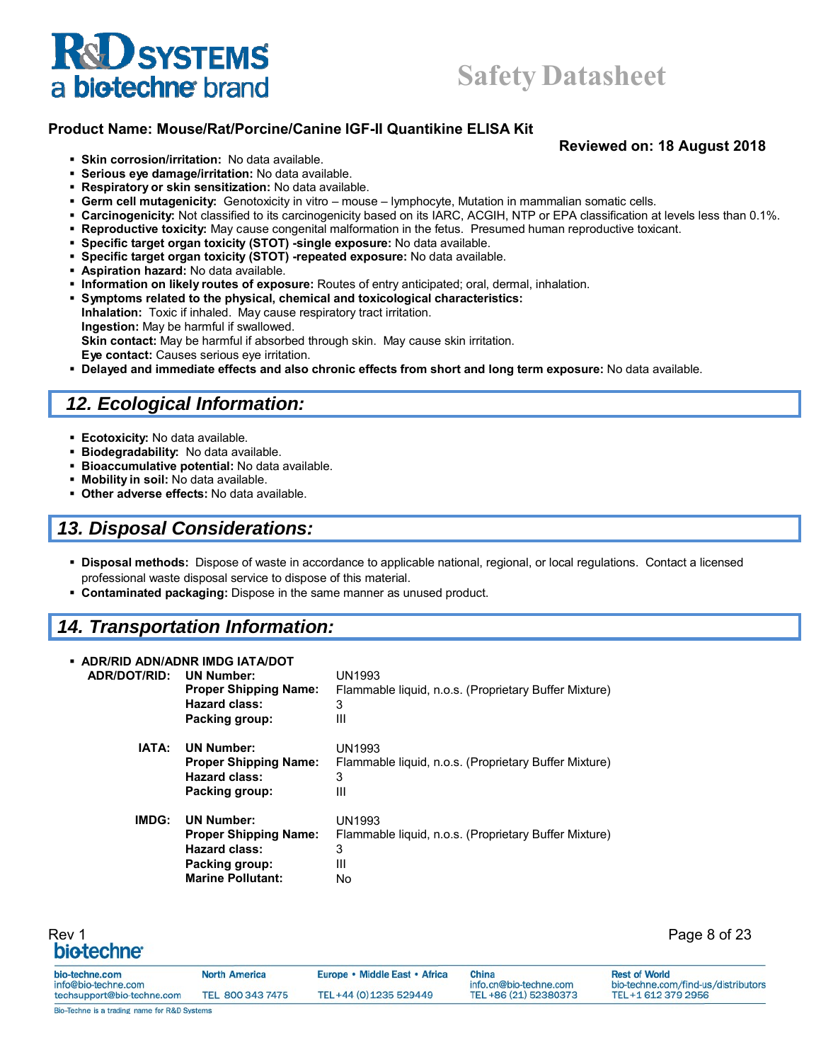

#### **Product Name: Mouse/Rat/Porcine/Canine IGF-II Quantikine ELISA Kit**

#### **Reviewed on: 18 August 2018**

- **Skin corrosion/irritation:** No data available.
- **Serious eye damage/irritation:** No data available.
- **Respiratory or skin sensitization:** No data available.
- **Germ cell mutagenicity:** Genotoxicity in vitro mouse lymphocyte, Mutation in mammalian somatic cells.
- **Carcinogenicity:** Not classified to its carcinogenicity based on its IARC, ACGIH, NTP or EPA classification at levels less than 0.1%.
- **Reproductive toxicity:** May cause congenital malformation in the fetus. Presumed human reproductive toxicant.
- **Specific target organ toxicity (STOT) -single exposure:** No data available.
- **Specific target organ toxicity (STOT) -repeated exposure:** No data available.
- **Aspiration hazard:** No data available.
- **Information on likely routes of exposure:** Routes of entry anticipated; oral, dermal, inhalation.
- **Symptoms related to the physical, chemical and toxicological characteristics:**
- **Inhalation:** Toxic if inhaled. May cause respiratory tract irritation. **Ingestion:** May be harmful if swallowed. **Skin contact:** May be harmful if absorbed through skin. May cause skin irritation. **Eye contact:** Causes serious eye irritation.
- **Delayed and immediate effects and also chronic effects from short and long term exposure:** No data available.

#### *12. Ecological Information:*

- **Ecotoxicity:** No data available.
- **Biodegradability:** No data available.
- **Bioaccumulative potential:** No data available.
- **Mobility in soil:** No data available.
- **Other adverse effects:** No data available.

#### *13. Disposal Considerations:*

- **Disposal methods:** Dispose of waste in accordance to applicable national, regional, or local regulations. Contact a licensed professional waste disposal service to dispose of this material.
- **Contaminated packaging:** Dispose in the same manner as unused product.

#### *14. Transportation Information:*

| ADR/DOT/RID: | • ADR/RID ADN/ADNR IMDG IATA/DOT<br><b>UN Number:</b><br><b>Proper Shipping Name:</b><br>Hazard class:<br>Packing group: | UN1993<br>Flammable liquid, n.o.s. (Proprietary Buffer Mixture)<br>3<br>Ш        |
|--------------|--------------------------------------------------------------------------------------------------------------------------|----------------------------------------------------------------------------------|
| IATA:        | <b>UN Number:</b><br><b>Proper Shipping Name:</b><br>Hazard class:<br>Packing group:                                     | <b>UN1993</b><br>Flammable liquid, n.o.s. (Proprietary Buffer Mixture)<br>3<br>Ш |
| IMDG:        | <b>UN Number:</b><br><b>Proper Shipping Name:</b><br>Hazard class:<br>Packing group:<br><b>Marine Pollutant:</b>         | UN1993<br>Flammable liquid, n.o.s. (Proprietary Buffer Mixture)<br>3<br>Ш<br>No  |

| Rev 1<br>bio-techne <sup>®</sup>             |                      |                               |                                 | Page 8 of 23                                                |
|----------------------------------------------|----------------------|-------------------------------|---------------------------------|-------------------------------------------------------------|
| bio-techne.com<br>info@bio-techne.com        | <b>North America</b> | Europe • Middle East • Africa | China<br>info.cn@bio-techne.com | <b>Rest of World</b><br>bio-techne.com/find-us/distributors |
| techsupport@bio-techne.com                   | TEL 800 343 7475     | TEL+44 (0) 1235 529449        | TEL +86 (21) 52380373           | TEL+1 612 379 2956                                          |
| Bio-Techne is a trading name for R&D Systems |                      |                               |                                 |                                                             |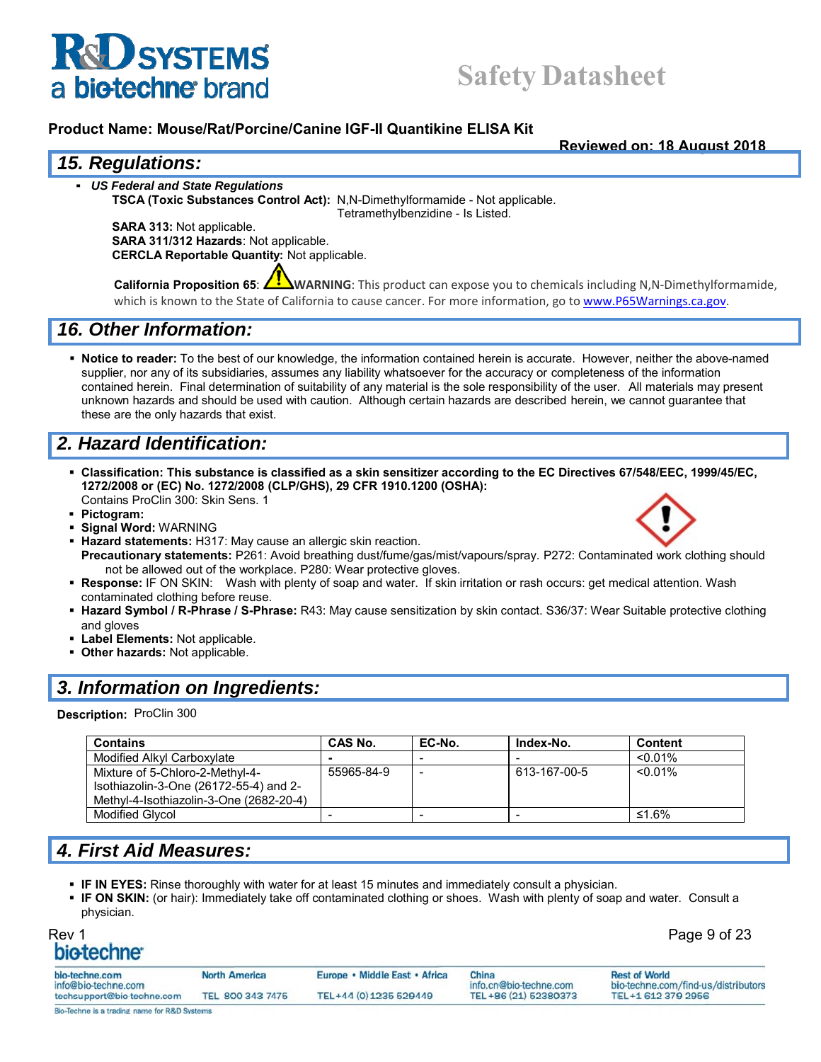

## **Safety Datasheet**

#### **Product Name: Mouse/Rat/Porcine/Canine IGF-II Quantikine ELISA Kit**

**Reviewed on: 18 August 2018**

#### *15. Regulations:*

▪ *US Federal and State Regulations*

**TSCA (Toxic Substances Control Act):** N,N-Dimethylformamide - Not applicable. Tetramethylbenzidine - Is Listed.

**SARA 313:** Not applicable. **SARA 311/312 Hazards**: Not applicable. **CERCLA Reportable Quantity:** Not applicable.

**California Proposition 65**: **WARNING**: This product can expose you to chemicals including N,N‐Dimethylformamide, which is known to the State of California to cause cancer. For more information, go to www.P65Warnings.ca.gov.

#### *16. Other Information:*

 **Notice to reader:** To the best of our knowledge, the information contained herein is accurate. However, neither the above-named supplier, nor any of its subsidiaries, assumes any liability whatsoever for the accuracy or completeness of the information contained herein. Final determination of suitability of any material is the sole responsibility of the user. All materials may present unknown hazards and should be used with caution. Although certain hazards are described herein, we cannot guarantee that these are the only hazards that exist.

## *2. Hazard Identification:*

- **Classification: This substance is classified as a skin sensitizer according to the EC Directives 67/548/EEC, 1999/45/EC, 1272/2008 or (EC) No. 1272/2008 (CLP/GHS), 29 CFR 1910.1200 (OSHA):** Contains ProClin 300: Skin Sens. 1
- **Pictogram:**
- **Signal Word:** WARNING
- **Hazard statements:** H317: May cause an allergic skin reaction. **Precautionary statements:** P261: Avoid breathing dust/fume/gas/mist/vapours/spray. P272: Contaminated work clothing should not be allowed out of the workplace. P280: Wear protective gloves.
- **Response:** IF ON SKIN: Wash with plenty of soap and water. If skin irritation or rash occurs: get medical attention. Wash contaminated clothing before reuse.
- **Hazard Symbol / R-Phrase / S-Phrase:** R43: May cause sensitization by skin contact. S36/37: Wear Suitable protective clothing and gloves
- **Label Elements:** Not applicable.
- **Other hazards:** Not applicable.

### *3. Information on Ingredients:*

**Description:** ProClin 300

| <b>Contains</b>                         | CAS No.    | EC-No. | Index-No.    | <b>Content</b> |
|-----------------------------------------|------------|--------|--------------|----------------|
| Modified Alkyl Carboxylate              |            |        |              | $< 0.01\%$     |
| Mixture of 5-Chloro-2-Methyl-4-         | 55965-84-9 | -      | 613-167-00-5 | $< 0.01\%$     |
| Isothiazolin-3-One (26172-55-4) and 2-  |            |        |              |                |
| Methyl-4-Isothiazolin-3-One (2682-20-4) |            |        |              |                |
| <b>Modified Glvcol</b>                  |            |        |              | ≤1.6%          |

### *4. First Aid Measures:*

- **IF IN EYES:** Rinse thoroughly with water for at least 15 minutes and immediately consult a physician.
- **IF ON SKIN:** (or hair): Immediately take off contaminated clothing or shoes. Wash with plenty of soap and water. Consult a physician.

| Rev 1     |  |
|-----------|--|
| hiotecnne |  |

Page 9 of 23

| bio-techne.com                                    | <b>North America</b> | Europe • Middle East • Africa | China                                           | <b>Rest of World</b>                                       |
|---------------------------------------------------|----------------------|-------------------------------|-------------------------------------------------|------------------------------------------------------------|
| info@bio-techne.com<br>techsupport@bio-techne.com | TEL 800 343 7475     | TEL+44 (0) 1235 529449        | info.cn@bio-techne.com<br>TEL +86 (21) 52380373 | bio-techne.com/find-us/distributors<br>TEL +1 612 379 2956 |
| Bio-Techne is a trading name for R&D Systems      |                      |                               |                                                 |                                                            |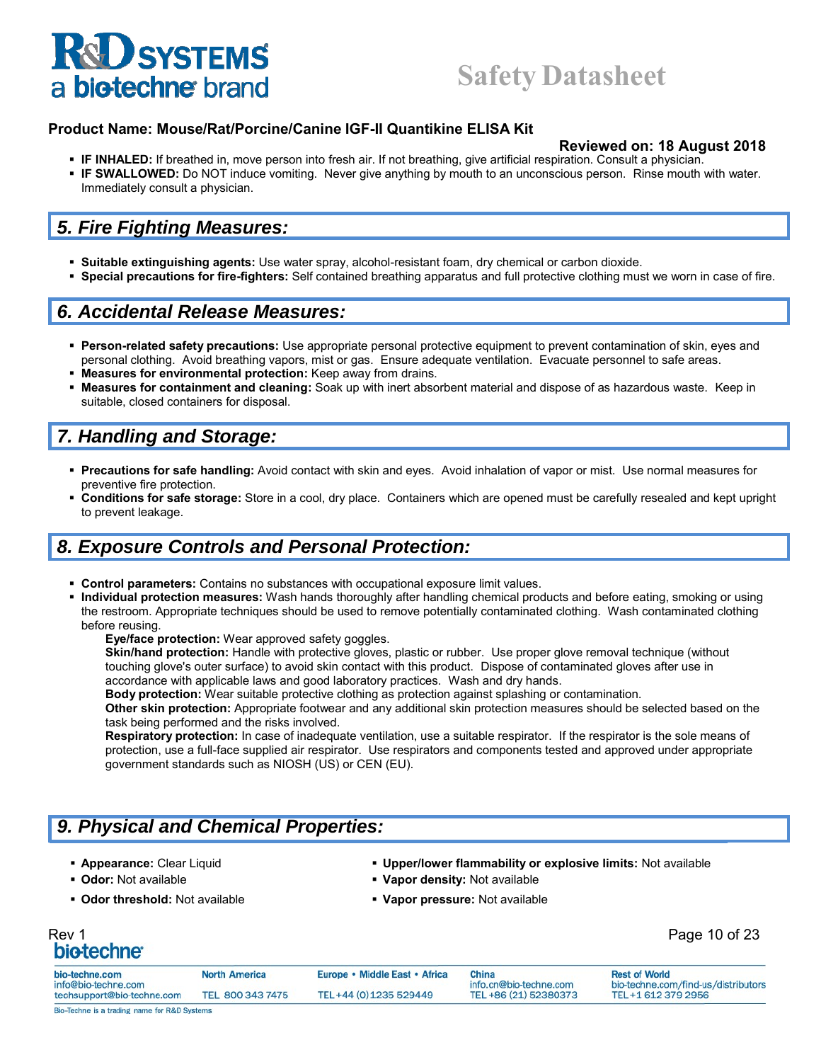## **Safety Datasheet**

#### **Product Name: Mouse/Rat/Porcine/Canine IGF-II Quantikine ELISA Kit**

#### **Reviewed on: 18 August 2018**

- **IF INHALED:** If breathed in, move person into fresh air. If not breathing, give artificial respiration. Consult a physician.
- **IF SWALLOWED:** Do NOT induce vomiting. Never give anything by mouth to an unconscious person. Rinse mouth with water. Immediately consult a physician.

#### *5. Fire Fighting Measures:*

- **Suitable extinguishing agents:** Use water spray, alcohol-resistant foam, dry chemical or carbon dioxide.
- **Special precautions for fire-fighters:** Self contained breathing apparatus and full protective clothing must we worn in case of fire.

#### *6. Accidental Release Measures:*

- **Person-related safety precautions:** Use appropriate personal protective equipment to prevent contamination of skin, eyes and personal clothing. Avoid breathing vapors, mist or gas. Ensure adequate ventilation. Evacuate personnel to safe areas.
- **Measures for environmental protection:** Keep away from drains.
- **Measures for containment and cleaning:** Soak up with inert absorbent material and dispose of as hazardous waste. Keep in suitable, closed containers for disposal.

### *7. Handling and Storage:*

- **Precautions for safe handling:** Avoid contact with skin and eyes. Avoid inhalation of vapor or mist. Use normal measures for preventive fire protection.
- **Conditions for safe storage:** Store in a cool, dry place. Containers which are opened must be carefully resealed and kept upright to prevent leakage.

#### *8. Exposure Controls and Personal Protection:*

- **Control parameters:** Contains no substances with occupational exposure limit values.
- **Individual protection measures:** Wash hands thoroughly after handling chemical products and before eating, smoking or using the restroom. Appropriate techniques should be used to remove potentially contaminated clothing. Wash contaminated clothing before reusing.

**Eye/face protection:** Wear approved safety goggles.

**Skin/hand protection:** Handle with protective gloves, plastic or rubber. Use proper glove removal technique (without touching glove's outer surface) to avoid skin contact with this product. Dispose of contaminated gloves after use in accordance with applicable laws and good laboratory practices. Wash and dry hands.

**Body protection:** Wear suitable protective clothing as protection against splashing or contamination.

**Other skin protection:** Appropriate footwear and any additional skin protection measures should be selected based on the task being performed and the risks involved.

**Respiratory protection:** In case of inadequate ventilation, use a suitable respirator. If the respirator is the sole means of protection, use a full-face supplied air respirator. Use respirators and components tested and approved under appropriate government standards such as NIOSH (US) or CEN (EU).

### *9. Physical and Chemical Properties:*

- -
- 
- **Appearance:** Clear Liquid **1998 12 Clear 10 Clear Clear Clear Clear Clear Clear Clear Clear Clear Clear Clear Clear Clear Clear Clear Clear Clear Clear Clear Clear Clear Clear Clear Clear Clear Clear Clear Clear Clear Cle**
- **Odor:** Not available **Vapor density:** Not available
- **Odor threshold:** Not available **Vapor pressure:** Not available

# Rev 1 Page 10 of 23

| bio-techne.com<br>info@bio-techne.com | <b>North America</b> | Europe • Middle East • Africa | China<br>info.cn@bio-techne.com | <b>Rest of World</b><br>bio-techne.com/find-us/distributors |
|---------------------------------------|----------------------|-------------------------------|---------------------------------|-------------------------------------------------------------|
| techsupport@bio-techne.com            | TEL 800 343 7475     | TEL+44 (0) 1235 529449        | TEL +86 (21) 52380373           | TEL+1 612 379 2956                                          |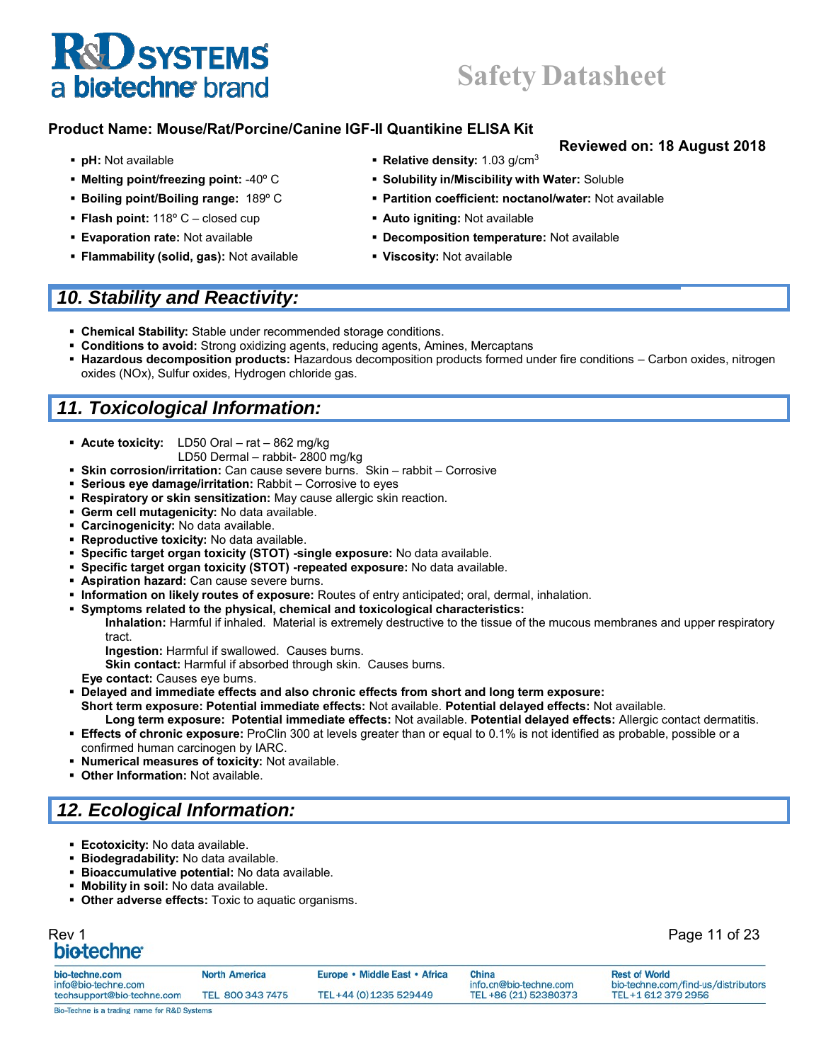## **Safety Datasheet**

#### **Product Name: Mouse/Rat/Porcine/Canine IGF-II Quantikine ELISA Kit**

- 
- 
- 
- **Flash point:** 118° C closed cup **a Auto igniting:** Not available
- 
- **Flammability (solid, gas):** Not available **Viscosity:** Not available

#### *10. Stability and Reactivity:*

- **Chemical Stability:** Stable under recommended storage conditions.
- **Conditions to avoid:** Strong oxidizing agents, reducing agents, Amines, Mercaptans
- **Hazardous decomposition products:** Hazardous decomposition products formed under fire conditions Carbon oxides, nitrogen oxides (NOx), Sulfur oxides, Hydrogen chloride gas.

## *11. Toxicological Information:*

- **Acute toxicity:** LD50 Oral rat 862 mg/kg
	- LD50 Dermal rabbit- 2800 mg/kg
- **Skin corrosion/irritation:** Can cause severe burns. Skin rabbit Corrosive
- **Serious eye damage/irritation:** Rabbit Corrosive to eyes
- **Respiratory or skin sensitization:** May cause allergic skin reaction.
- **Germ cell mutagenicity:** No data available.
- **Carcinogenicity:** No data available.
- **Reproductive toxicity:** No data available.
- **Specific target organ toxicity (STOT) -single exposure:** No data available.
- **Specific target organ toxicity (STOT) -repeated exposure:** No data available.
- **Aspiration hazard:** Can cause severe burns.
- **Information on likely routes of exposure:** Routes of entry anticipated; oral, dermal, inhalation.
- **Symptoms related to the physical, chemical and toxicological characteristics:**

**Inhalation:** Harmful if inhaled. Material is extremely destructive to the tissue of the mucous membranes and upper respiratory tract.

**Ingestion:** Harmful if swallowed. Causes burns.

**Skin contact:** Harmful if absorbed through skin. Causes burns.

**Eye contact:** Causes eye burns.

- **Delayed and immediate effects and also chronic effects from short and long term exposure: Short term exposure: Potential immediate effects:** Not available. **Potential delayed effects:** Not available.
- **Long term exposure: Potential immediate effects:** Not available. **Potential delayed effects:** Allergic contact dermatitis. **Effects of chronic exposure:** ProClin 300 at levels greater than or equal to 0.1% is not identified as probable, possible or a
- confirmed human carcinogen by IARC.
- **Numerical measures of toxicity:** Not available.
- **Other Information:** Not available.

## *12. Ecological Information:*

- **Ecotoxicity:** No data available.
- **Biodegradability:** No data available.
- **Bioaccumulative potential:** No data available.
- **Mobility in soil:** No data available.
- **Other adverse effects:** Toxic to aquatic organisms.

# Rev 1 Page 11 of 23

| bio-techne.com                               | <b>North America</b> | Europe • Middle East • Africa | China                  | <b>Rest of World</b>                |
|----------------------------------------------|----------------------|-------------------------------|------------------------|-------------------------------------|
| info@bio-techne.com                          |                      |                               | info.cn@bio-techne.com | bio-techne.com/find-us/distributors |
| techsupport@bio-techne.com                   | TEL 800 343 7475     | TEL+44 (0) 1235 529449        | TEL +86 (21) 52380373  | TEL+1 612 379 2956                  |
| Bio-Techne is a trading name for R&D Systems |                      |                               |                        |                                     |

- **pH:** Not available *Relative density:* **1.03 g/cm<sup>3</sup>**
- **Melting point/freezing point:** -40º C **Solubility in/Miscibility with Water:** Soluble
- **Boiling point/Boiling range: 189° C <b>Partition coefficient: noctanol/water:** Not available
	-
- **Evaporation rate:** Not available **Decomposition temperature:** Not available
	-

#### **Reviewed on: 18 August 2018**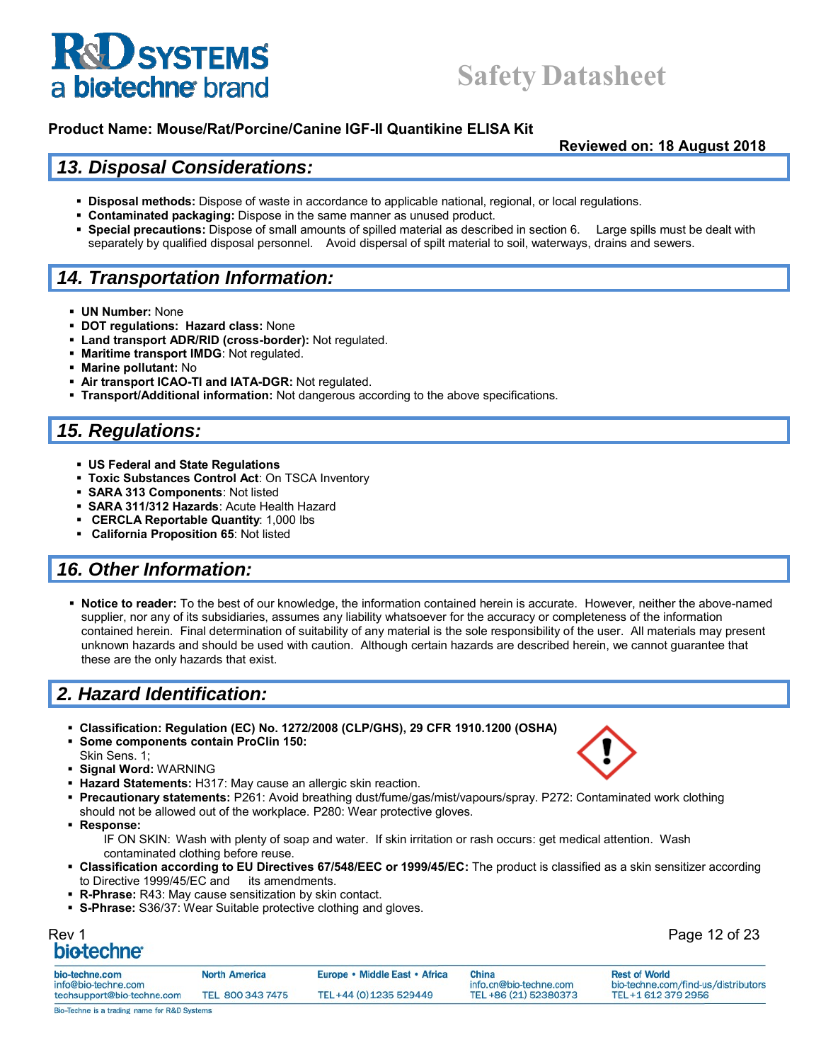## **Safety Datasheet**

#### **Product Name: Mouse/Rat/Porcine/Canine IGF-II Quantikine ELISA Kit**

**Reviewed on: 18 August 2018**

#### *13. Disposal Considerations:*

- **Disposal methods:** Dispose of waste in accordance to applicable national, regional, or local regulations.
- **Contaminated packaging:** Dispose in the same manner as unused product.
- **Special precautions:** Dispose of small amounts of spilled material as described in section 6. Large spills must be dealt with separately by qualified disposal personnel. Avoid dispersal of spilt material to soil, waterways, drains and sewers.

### *14. Transportation Information:*

- **UN Number:** None
- **DOT regulations: Hazard class:** None
- **Land transport ADR/RID (cross-border):** Not regulated.
- **Maritime transport IMDG**: Not regulated.
- **Marine pollutant:** No
- **Air transport ICAO-TI and IATA-DGR:** Not regulated.
- **Transport/Additional information:** Not dangerous according to the above specifications.

### *15. Regulations:*

- **US Federal and State Regulations**
- **Toxic Substances Control Act**: On TSCA Inventory
- **SARA 313 Components**: Not listed
- **SARA 311/312 Hazards**: Acute Health Hazard
- **CERCLA Reportable Quantity**: 1,000 lbs
- **California Proposition 65**: Not listed

### *16. Other Information:*

 **Notice to reader:** To the best of our knowledge, the information contained herein is accurate. However, neither the above-named supplier, nor any of its subsidiaries, assumes any liability whatsoever for the accuracy or completeness of the information contained herein. Final determination of suitability of any material is the sole responsibility of the user. All materials may present unknown hazards and should be used with caution. Although certain hazards are described herein, we cannot guarantee that these are the only hazards that exist.

### *2. Hazard Identification:*

- **Classification: Regulation (EC) No. 1272/2008 (CLP/GHS), 29 CFR 1910.1200 (OSHA)**
- **Some components contain ProClin 150:**
- Skin Sens. 1;
- **Signal Word:** WARNING
- **Hazard Statements:** H317: May cause an allergic skin reaction.
- **Precautionary statements:** P261: Avoid breathing dust/fume/gas/mist/vapours/spray. P272: Contaminated work clothing should not be allowed out of the workplace. P280: Wear protective gloves.
- **Response:**

IF ON SKIN: Wash with plenty of soap and water. If skin irritation or rash occurs: get medical attention. Wash contaminated clothing before reuse.

- **Classification according to EU Directives 67/548/EEC or 1999/45/EC:** The product is classified as a skin sensitizer according to Directive 1999/45/EC and its amendments.
- **R-Phrase:** R43: May cause sensitization by skin contact.
- **S-Phrase:** S36/37: Wear Suitable protective clothing and gloves.

## Rev 1 Page 12 of 23

| bio-techne.com<br>info@bio-techne.com | <b>North America</b> | Europe • Middle East • Africa | China<br>info.cn@bio-techne.com | <b>Rest of World</b><br>bio-techne.com/find-us/distributors |
|---------------------------------------|----------------------|-------------------------------|---------------------------------|-------------------------------------------------------------|
| techsupport@bio-techne.com            | TEL 800 343 7475     | TEL+44 (0) 1235 529449        | TEL +86 (21) 52380373           | TEL+1 612 379 2956                                          |

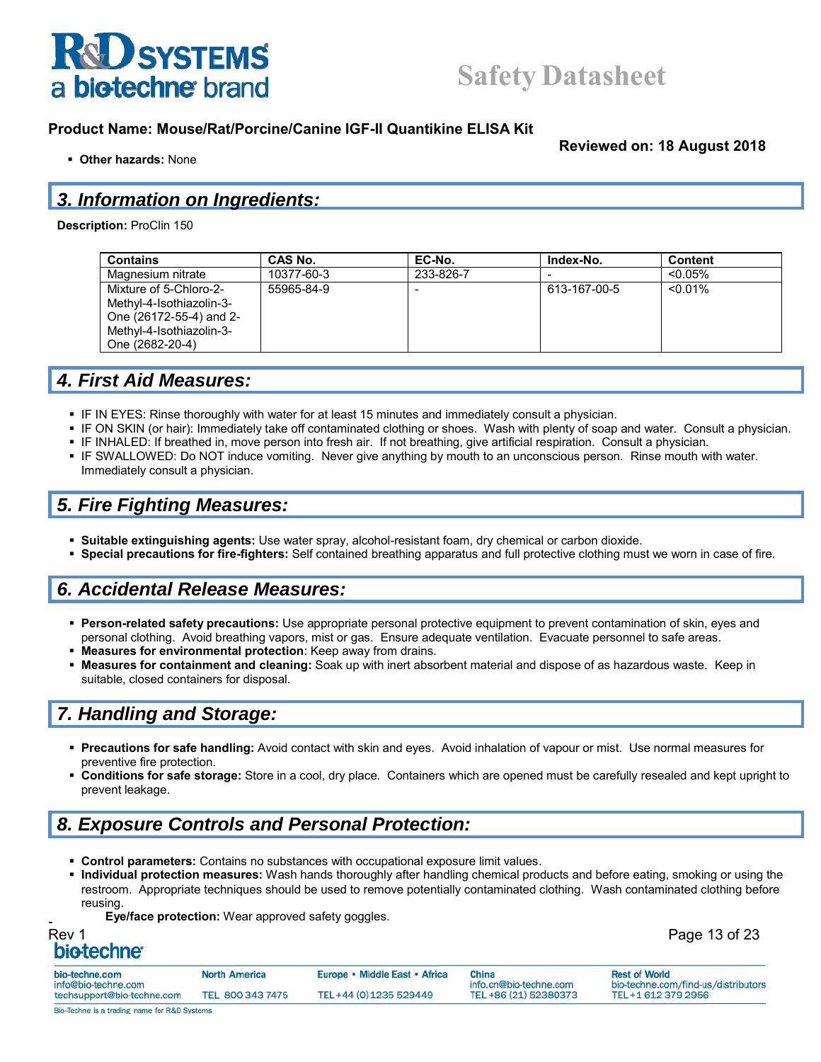

**Other hazards:** None

**Reviewed on: 18 August 2018**

Page 13 of 23

## *3. Information on Ingredients:*

**Description:** ProClin 150

| <b>Contains</b>                                                                                                              | CAS No.    | EC-No.    | Index-No.    | <b>Content</b> |
|------------------------------------------------------------------------------------------------------------------------------|------------|-----------|--------------|----------------|
| Magnesium nitrate                                                                                                            | 10377-60-3 | 233-826-7 |              | $< 0.05\%$     |
| Mixture of 5-Chloro-2-<br>Methyl-4-Isothiazolin-3-<br>One (26172-55-4) and 2-<br>Methyl-4-Isothiazolin-3-<br>One (2682-20-4) | 55965-84-9 |           | 613-167-00-5 | $< 0.01\%$     |

#### *4. First Aid Measures:*

- IF IN EYES: Rinse thoroughly with water for at least 15 minutes and immediately consult a physician.
- IF ON SKIN (or hair): Immediately take off contaminated clothing or shoes. Wash with plenty of soap and water. Consult a physician.
- **IF INHALED: If breathed in, move person into fresh air. If not breathing, give artificial respiration. Consult a physician.**
- IF SWALLOWED: Do NOT induce vomiting. Never give anything by mouth to an unconscious person. Rinse mouth with water. Immediately consult a physician.

## *5. Fire Fighting Measures:*

- **Suitable extinguishing agents:** Use water spray, alcohol-resistant foam, dry chemical or carbon dioxide.
- **Special precautions for fire-fighters:** Self contained breathing apparatus and full protective clothing must we worn in case of fire.

#### *6. Accidental Release Measures:*

- **Person-related safety precautions:** Use appropriate personal protective equipment to prevent contamination of skin, eyes and personal clothing. Avoid breathing vapors, mist or gas. Ensure adequate ventilation. Evacuate personnel to safe areas.
- **Measures for environmental protection**: Keep away from drains.
- **Measures for containment and cleaning:** Soak up with inert absorbent material and dispose of as hazardous waste. Keep in suitable, closed containers for disposal.

### *7. Handling and Storage:*

- **Precautions for safe handling:** Avoid contact with skin and eyes. Avoid inhalation of vapour or mist. Use normal measures for preventive fire protection.
- **Conditions for safe storage:** Store in a cool, dry place. Containers which are opened must be carefully resealed and kept upright to prevent leakage.

## *8. Exposure Controls and Personal Protection:*

- **Control parameters:** Contains no substances with occupational exposure limit values.
- **Individual protection measures:** Wash hands thoroughly after handling chemical products and before eating, smoking or using the restroom. Appropriate techniques should be used to remove potentially contaminated clothing. Wash contaminated clothing before reusing.
	- **Eye/face protection:** Wear approved safety goggles.

| Rev 1 |                         |  |
|-------|-------------------------|--|
|       | bio-techne <sup>®</sup> |  |

| bio-techne.com             | <b>North America</b> | Europe • Middle East • Africa | China                  | <b>Rest of World</b>                |
|----------------------------|----------------------|-------------------------------|------------------------|-------------------------------------|
| info@bio-techne.com        |                      |                               | info.cn@bio-techne.com | bio-techne.com/find-us/distributors |
| techsupport@bio-techne.com | TEL 800 343 7475     | TEL+44 (0) 1235 529449        | TEL +86 (21) 52380373  | TEL+1 612 379 2956                  |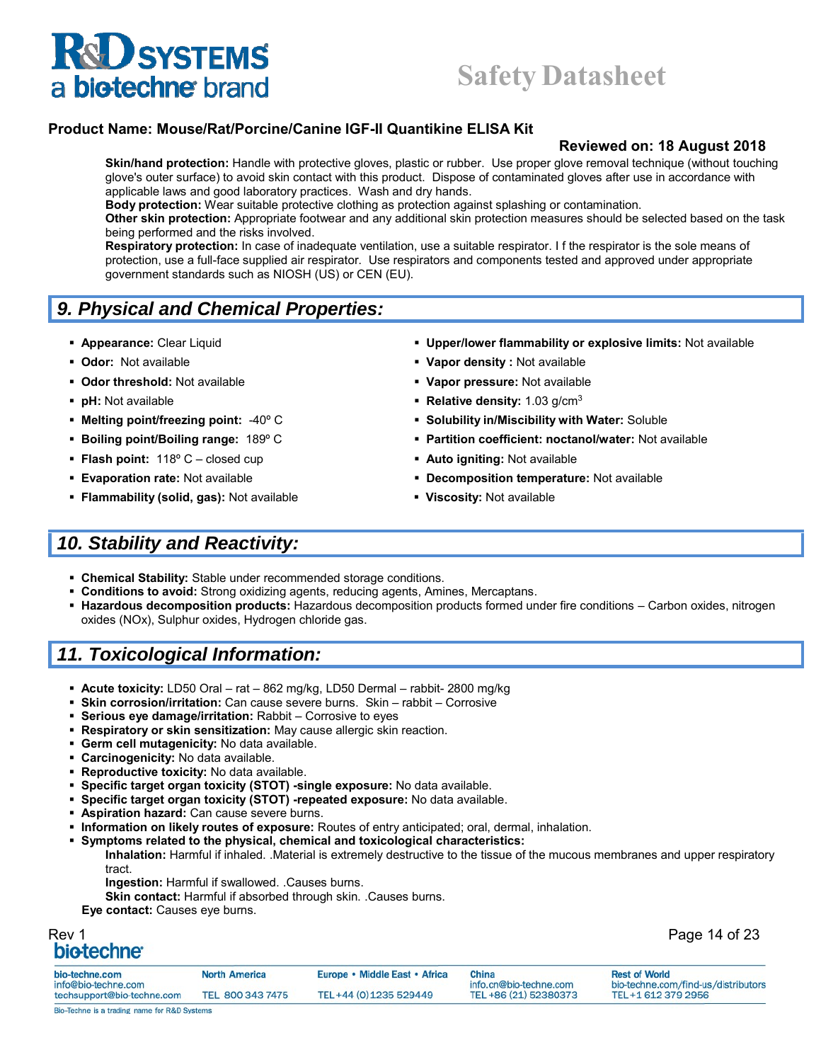#### **Product Name: Mouse/Rat/Porcine/Canine IGF-II Quantikine ELISA Kit**

#### **Reviewed on: 18 August 2018**

**Skin/hand protection:** Handle with protective gloves, plastic or rubber. Use proper glove removal technique (without touching glove's outer surface) to avoid skin contact with this product. Dispose of contaminated gloves after use in accordance with applicable laws and good laboratory practices. Wash and dry hands.

**Body protection:** Wear suitable protective clothing as protection against splashing or contamination.

**Other skin protection:** Appropriate footwear and any additional skin protection measures should be selected based on the task being performed and the risks involved.

**Respiratory protection:** In case of inadequate ventilation, use a suitable respirator. I f the respirator is the sole means of protection, use a full-face supplied air respirator. Use respirators and components tested and approved under appropriate government standards such as NIOSH (US) or CEN (EU).

## *9. Physical and Chemical Properties:*

- 
- 
- **Odor threshold:** Not available **Vapor pressure:** Not available
- 
- 
- 
- **Flash point:** 118° C closed cup **Auto igniting:** Not available
- 
- **Flammability (solid, gas):** Not available **Viscosity:** Not available
- **Appearance:** Clear Liquid **Upper/lower flammability or explosive limits:** Not available
- **Odor:** Not available **Vapor density :** Not available
	-
- **pH:** Not available **Relative density:** 1.03 g/cm<sup>3</sup>
- **Melting point/freezing point:** -40º C **Solubility in/Miscibility with Water:** Soluble
- **Boiling point/Boiling range: 189° C Partition coefficient: noctanol/water: Not available** 
	-
- **Evaporation rate:** Not available **Decomposition temperature:** Not available
	-

### *10. Stability and Reactivity:*

- **Chemical Stability:** Stable under recommended storage conditions.
- **Conditions to avoid:** Strong oxidizing agents, reducing agents, Amines, Mercaptans.
- **Hazardous decomposition products:** Hazardous decomposition products formed under fire conditions Carbon oxides, nitrogen oxides (NOx), Sulphur oxides, Hydrogen chloride gas.

### *11. Toxicological Information:*

- **Acute toxicity:** LD50 Oral rat 862 mg/kg, LD50 Dermal rabbit- 2800 mg/kg
- **Skin corrosion/irritation:** Can cause severe burns. Skin rabbit Corrosive
- **Serious eye damage/irritation:** Rabbit Corrosive to eyes
- **Respiratory or skin sensitization:** May cause allergic skin reaction.
- **Germ cell mutagenicity:** No data available.
- **Carcinogenicity:** No data available.
- **Reproductive toxicity:** No data available.
- **Specific target organ toxicity (STOT) -single exposure:** No data available.
- **Specific target organ toxicity (STOT) -repeated exposure:** No data available.
- **Aspiration hazard:** Can cause severe burns.
- **Information on likely routes of exposure:** Routes of entry anticipated; oral, dermal, inhalation.
- **Symptoms related to the physical, chemical and toxicological characteristics:**
- **Inhalation:** Harmful if inhaled. .Material is extremely destructive to the tissue of the mucous membranes and upper respiratory tract.
	- **Ingestion:** Harmful if swallowed. .Causes burns.
	- **Skin contact:** Harmful if absorbed through skin. .Causes burns.
- **Eye contact:** Causes eye burns.

## Rev 1 Page 14 of 23

| Faye 14 UI |  |
|------------|--|
|            |  |

| bio-techne.com                               | North America    | Europe • Middle East • Africa | China                  | <b>Rest of World</b>                |
|----------------------------------------------|------------------|-------------------------------|------------------------|-------------------------------------|
| info@bio-techne.com                          |                  |                               | info.cn@bio-techne.com | bio-techne.com/find-us/distributors |
| techsupport@bio-techne.com                   | TEL 800 343 7475 | TEL+44 (0) 1235 529449        | TEL +86 (21) 52380373  | TEL+1 612 379 2956                  |
| Bio-Techne is a trading name for R&D Systems |                  |                               |                        |                                     |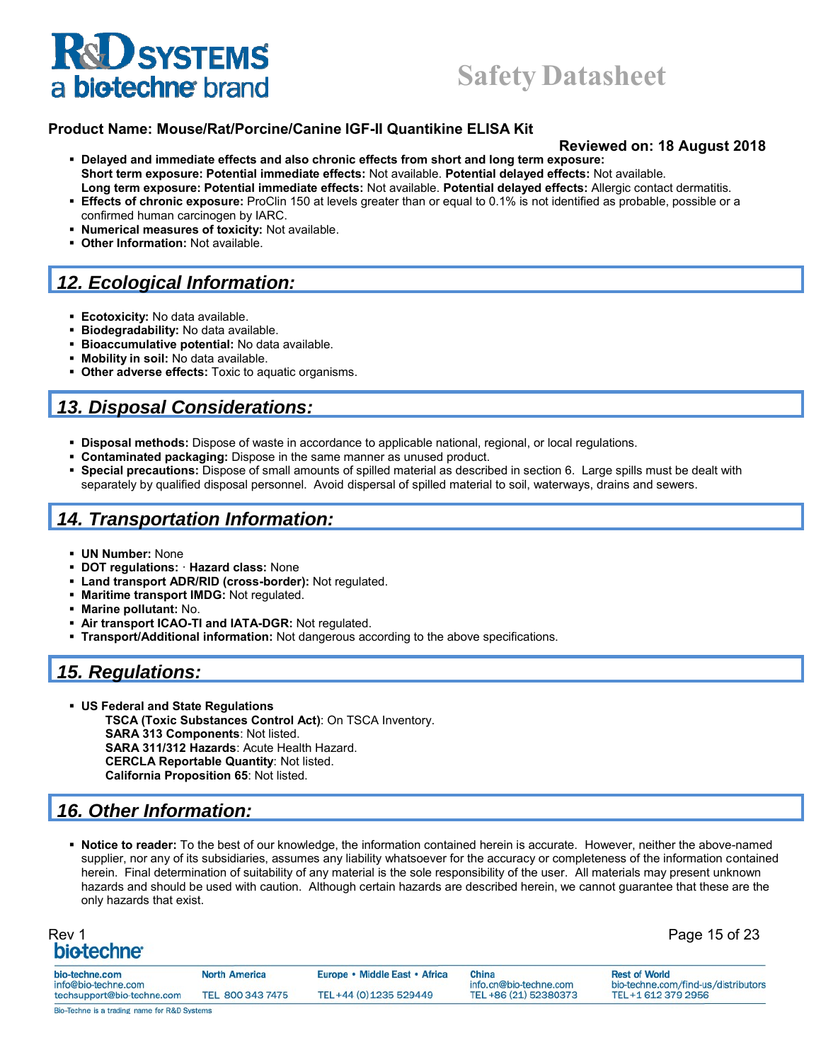## **Safety Datasheet**

#### **Product Name: Mouse/Rat/Porcine/Canine IGF-II Quantikine ELISA Kit**

#### **Reviewed on: 18 August 2018**

- **Delayed and immediate effects and also chronic effects from short and long term exposure: Short term exposure: Potential immediate effects:** Not available. **Potential delayed effects:** Not available. **Long term exposure: Potential immediate effects:** Not available. **Potential delayed effects:** Allergic contact dermatitis.
- **Effects of chronic exposure:** ProClin 150 at levels greater than or equal to 0.1% is not identified as probable, possible or a confirmed human carcinogen by IARC.
- **Numerical measures of toxicity:** Not available.
- **Other Information:** Not available.

## *12. Ecological Information:*

- **Ecotoxicity:** No data available.
- **Biodegradability:** No data available.
- **Bioaccumulative potential:** No data available.
- **Mobility in soil:** No data available.
- **Other adverse effects:** Toxic to aquatic organisms.

### *13. Disposal Considerations:*

- **Disposal methods:** Dispose of waste in accordance to applicable national, regional, or local regulations.
- **Contaminated packaging:** Dispose in the same manner as unused product.
- **Special precautions:** Dispose of small amounts of spilled material as described in section 6. Large spills must be dealt with separately by qualified disposal personnel. Avoid dispersal of spilled material to soil, waterways, drains and sewers.

#### *14. Transportation Information:*

- **UN Number:** None
- **DOT regulations:** · **Hazard class:** None
- **Land transport ADR/RID (cross-border):** Not regulated.
- **Maritime transport IMDG:** Not regulated.
- **Marine pollutant:** No.
- **Air transport ICAO-TI and IATA-DGR:** Not regulated.
- **Transport/Additional information:** Not dangerous according to the above specifications.

#### *15. Regulations:*

 **US Federal and State Regulations TSCA (Toxic Substances Control Act)**: On TSCA Inventory. **SARA 313 Components**: Not listed. **SARA 311/312 Hazards**: Acute Health Hazard. **CERCLA Reportable Quantity**: Not listed. **California Proposition 65**: Not listed.

### *16. Other Information:*

 **Notice to reader:** To the best of our knowledge, the information contained herein is accurate. However, neither the above-named supplier, nor any of its subsidiaries, assumes any liability whatsoever for the accuracy or completeness of the information contained herein. Final determination of suitability of any material is the sole responsibility of the user. All materials may present unknown hazards and should be used with caution. Although certain hazards are described herein, we cannot guarantee that these are the only hazards that exist.

| Rev 1 |                  |  |
|-------|------------------|--|
|       | <b>biotechne</b> |  |

Page 15 of 23

| bio-techne.com                                    | <b>North America</b> | Europe • Middle East • Africa | China                                           | <b>Rest of World</b>                                      |
|---------------------------------------------------|----------------------|-------------------------------|-------------------------------------------------|-----------------------------------------------------------|
| info@bio-techne.com<br>techsupport@bio-techne.com | TEL 800 343 7475     | TEL+44 (0) 1235 529449        | info.cn@bio-techne.com<br>TEL +86 (21) 52380373 | bio-techne.com/find-us/distributors<br>TEL+1 612 379 2956 |
| Bio-Techne is a trading name for R&D Systems      |                      |                               |                                                 |                                                           |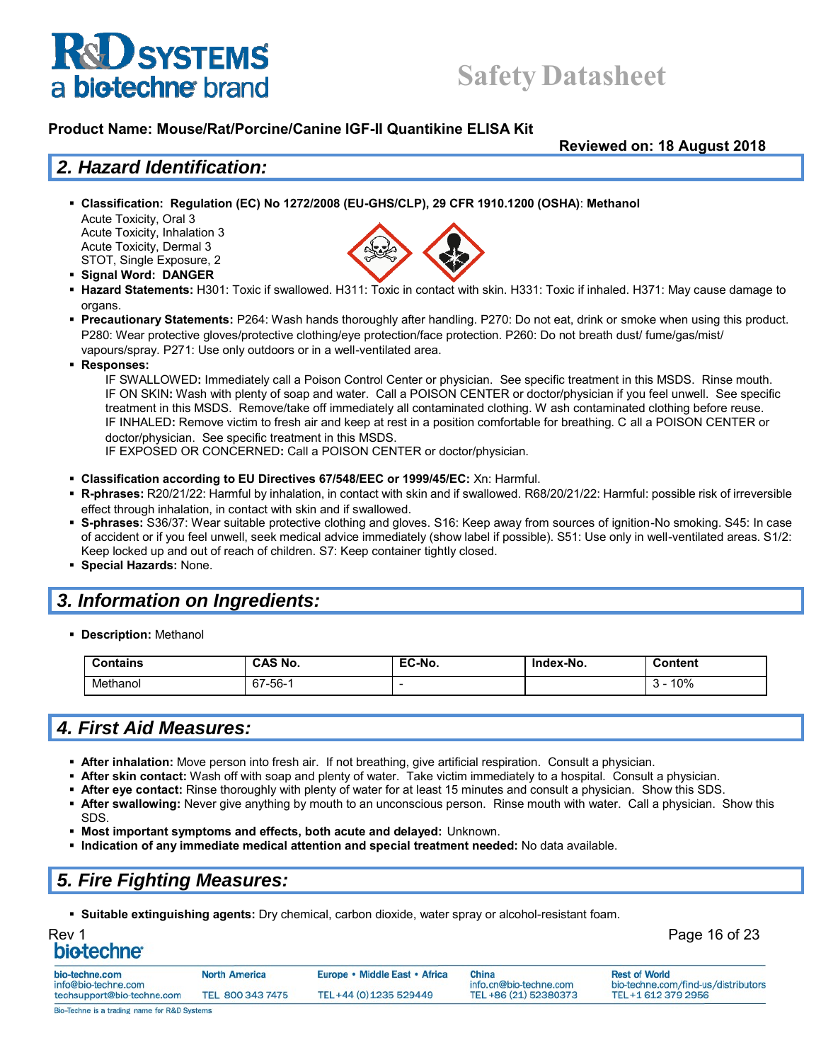## **Safety Datasheet**

#### **Product Name: Mouse/Rat/Porcine/Canine IGF-II Quantikine ELISA Kit**

**Reviewed on: 18 August 2018**

#### *2. Hazard Identification:*

**Classification: Regulation (EC) No 1272/2008 (EU-GHS/CLP), 29 CFR 1910.1200 (OSHA)**: **Methanol**

Acute Toxicity, Oral 3 Acute Toxicity, Inhalation 3 Acute Toxicity, Dermal 3 STOT, Single Exposure, 2

- **Signal Word: DANGER**
- **Hazard Statements:** H301: Toxic if swallowed. H311: Toxic in contact with skin. H331: Toxic if inhaled. H371: May cause damage to organs.
- **Precautionary Statements:** P264: Wash hands thoroughly after handling. P270: Do not eat, drink or smoke when using this product. P280: Wear protective gloves/protective clothing/eye protection/face protection. P260: Do not breath dust/ fume/gas/mist/ vapours/spray. P271: Use only outdoors or in a well-ventilated area.
- **Responses:**

IF SWALLOWED**:** Immediately call a Poison Control Center or physician. See specific treatment in this MSDS. Rinse mouth. IF ON SKIN**:** Wash with plenty of soap and water. Call a POISON CENTER or doctor/physician if you feel unwell. See specific treatment in this MSDS. Remove/take off immediately all contaminated clothing. W ash contaminated clothing before reuse. IF INHALED**:** Remove victim to fresh air and keep at rest in a position comfortable for breathing. C all a POISON CENTER or doctor/physician. See specific treatment in this MSDS.

IF EXPOSED OR CONCERNED**:** Call a POISON CENTER or doctor/physician.

- **Classification according to EU Directives 67/548/EEC or 1999/45/EC:** Xn: Harmful.
- **R-phrases:** R20/21/22: Harmful by inhalation, in contact with skin and if swallowed. R68/20/21/22: Harmful: possible risk of irreversible effect through inhalation, in contact with skin and if swallowed.
- **S-phrases:** S36/37: Wear suitable protective clothing and gloves. S16: Keep away from sources of ignition-No smoking. S45: In case of accident or if you feel unwell, seek medical advice immediately (show label if possible). S51: Use only in well-ventilated areas. S1/2: Keep locked up and out of reach of children. S7: Keep container tightly closed.
- **Special Hazards:** None.

### *3. Information on Ingredients:*

**Description:** Methanol

| <b>Contains</b> | <b>CAS No.</b>        | EC-No. | Index-No. | Content |
|-----------------|-----------------------|--------|-----------|---------|
| Methanol        | 7-56-<br>$\sim$<br>67 | -      |           | 10%     |

### *4. First Aid Measures:*

- **After inhalation:** Move person into fresh air. If not breathing, give artificial respiration. Consult a physician.
- **After skin contact:** Wash off with soap and plenty of water. Take victim immediately to a hospital. Consult a physician.
- **After eye contact:** Rinse thoroughly with plenty of water for at least 15 minutes and consult a physician. Show this SDS.
- **After swallowing:** Never give anything by mouth to an unconscious person. Rinse mouth with water. Call a physician. Show this SDS.
- **Most important symptoms and effects, both acute and delayed:** Unknown.
- **Indication of any immediate medical attention and special treatment needed:** No data available.

## *5. Fire Fighting Measures:*

**Suitable extinguishing agents:** Dry chemical, carbon dioxide, water spray or alcohol-resistant foam.

# Rev 1 Page 16 of 23

| bio-techne.com<br>info@bio-techne.com                   | <b>North America</b> | Europe • Middle East • Africa | China<br>info.cn@bio-techne.com | <b>Rest of World</b><br>bio-techne.com/find-us/distributors |
|---------------------------------------------------------|----------------------|-------------------------------|---------------------------------|-------------------------------------------------------------|
| techsupport@bio-techne.com                              | TEL 800 343 7475     | TEL+44 (0) 1235 529449        | TEL +86 (21) 52380373           | TEL+1 612 379 2956                                          |
| <b>Rio-Techne is a trading name for R&amp;D Systems</b> |                      |                               |                                 |                                                             |

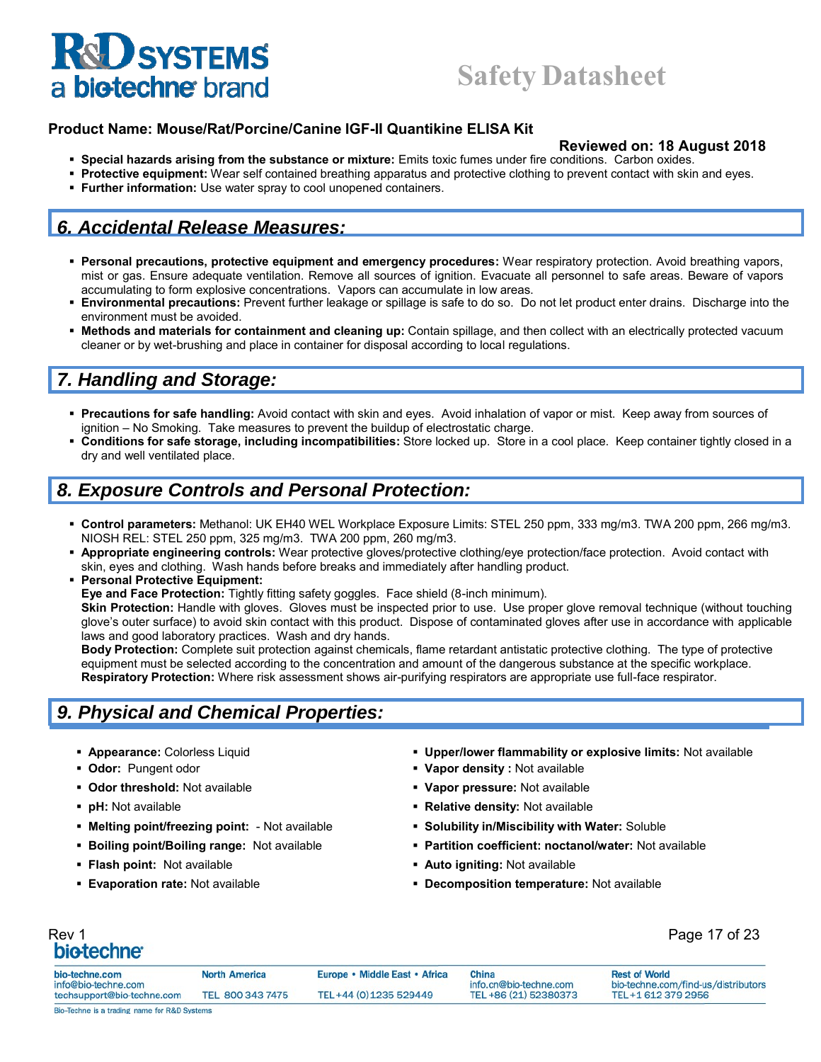#### **Product Name: Mouse/Rat/Porcine/Canine IGF-II Quantikine ELISA Kit**

#### **Reviewed on: 18 August 2018**

- **Special hazards arising from the substance or mixture:** Emits toxic fumes under fire conditions. Carbon oxides.
- **Protective equipment:** Wear self contained breathing apparatus and protective clothing to prevent contact with skin and eyes.
- **Further information:** Use water spray to cool unopened containers.

### *6. Accidental Release Measures:*

- **Personal precautions, protective equipment and emergency procedures:** Wear respiratory protection. Avoid breathing vapors, mist or gas. Ensure adequate ventilation. Remove all sources of ignition. Evacuate all personnel to safe areas. Beware of vapors accumulating to form explosive concentrations. Vapors can accumulate in low areas.
- **Environmental precautions:** Prevent further leakage or spillage is safe to do so. Do not let product enter drains. Discharge into the environment must be avoided.
- **Methods and materials for containment and cleaning up:** Contain spillage, and then collect with an electrically protected vacuum cleaner or by wet-brushing and place in container for disposal according to local regulations.

### *7. Handling and Storage:*

- **Precautions for safe handling:** Avoid contact with skin and eyes. Avoid inhalation of vapor or mist. Keep away from sources of ignition – No Smoking. Take measures to prevent the buildup of electrostatic charge.
- **Conditions for safe storage, including incompatibilities:** Store locked up. Store in a cool place. Keep container tightly closed in a dry and well ventilated place.

#### *8. Exposure Controls and Personal Protection:*

- **Control parameters:** Methanol: UK EH40 WEL Workplace Exposure Limits: STEL 250 ppm, 333 mg/m3. TWA 200 ppm, 266 mg/m3. NIOSH REL: STEL 250 ppm, 325 mg/m3. TWA 200 ppm, 260 mg/m3.
- **Appropriate engineering controls:** Wear protective gloves/protective clothing/eye protection/face protection. Avoid contact with skin, eyes and clothing. Wash hands before breaks and immediately after handling product.
- **Personal Protective Equipment: Eye and Face Protection:** Tightly fitting safety goggles. Face shield (8-inch minimum). **Skin Protection:** Handle with gloves. Gloves must be inspected prior to use. Use proper glove removal technique (without touching glove's outer surface) to avoid skin contact with this product. Dispose of contaminated gloves after use in accordance with applicable laws and good laboratory practices. Wash and dry hands.

**Body Protection:** Complete suit protection against chemicals, flame retardant antistatic protective clothing. The type of protective equipment must be selected according to the concentration and amount of the dangerous substance at the specific workplace. **Respiratory Protection:** Where risk assessment shows air-purifying respirators are appropriate use full-face respirator.

### *9. Physical and Chemical Properties:*

- 
- 
- **Odor threshold:** Not available **Vapor pressure:** Not available
- 
- **Melting point/freezing point:**  Not available **Solubility in/Miscibility with Water:** Soluble
- 
- 
- 
- **Appearance:** Colorless Liquid **Upper/lower flammability or explosive limits:** Not available
- **Odor:** Pungent odor **Vapor density :** Not available
	-
- **pH:** Not available **Relative density:** Not available
	-
- **Boiling point/Boiling range:** Not available **Partition coefficient: noctanol/water:** Not available
- **Flash point:** Not available *Auto igniting:* **Not available <b>Propose Auto igniting:** Not available
- **Evaporation rate:** Not available **<b>Decomposition temperature:** Not available

## Rev 1 Page 17 of 23

| bio-techne.com                                   | <b>North America</b> | Europe • Middle East • Africa | China                                           | <b>Rest of World</b>                                      |
|--------------------------------------------------|----------------------|-------------------------------|-------------------------------------------------|-----------------------------------------------------------|
| nfo@bio-techne.com<br>techsupport@bio-techne.com | TEL 800 343 7475     | TEL+44 (0) 1235 529449        | info.cn@bio-techne.com<br>TEL +86 (21) 52380373 | bio-techne.com/find-us/distributors<br>TEL+1 612 379 2956 |
| Bio-Techne is a trading name for R&D Systems     |                      |                               |                                                 |                                                           |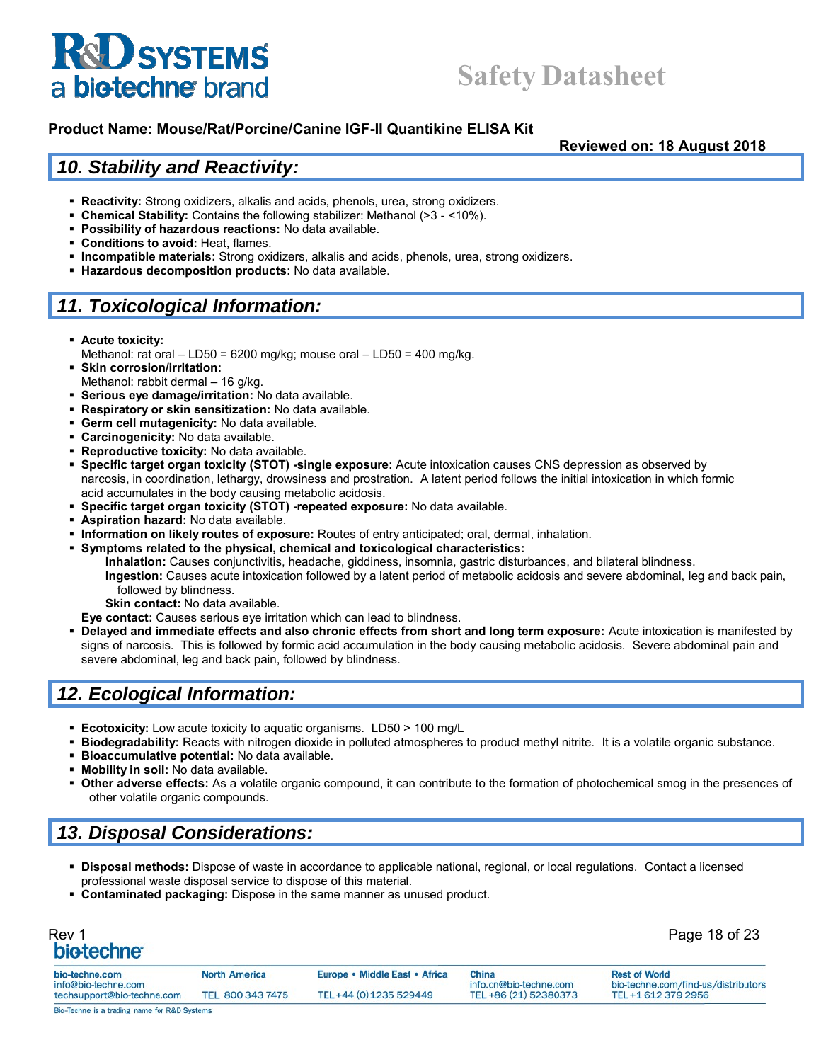

**Reviewed on: 18 August 2018**

#### *10. Stability and Reactivity:*

- **Reactivity:** Strong oxidizers, alkalis and acids, phenols, urea, strong oxidizers.
- **Chemical Stability:** Contains the following stabilizer: Methanol (>3 <10%).
- **Possibility of hazardous reactions:** No data available.
- **Conditions to avoid:** Heat, flames.
- **Incompatible materials:** Strong oxidizers, alkalis and acids, phenols, urea, strong oxidizers.
- **Hazardous decomposition products:** No data available.

## *11. Toxicological Information:*

- **Acute toxicity:**
- Methanol: rat oral LD50 = 6200 mg/kg; mouse oral LD50 = 400 mg/kg.
- **Skin corrosion/irritation:** Methanol: rabbit dermal - 16 g/kg.
- **Serious eye damage/irritation:** No data available.
- **Respiratory or skin sensitization:** No data available.
- **Germ cell mutagenicity:** No data available.
- **Carcinogenicity:** No data available.
- **Reproductive toxicity:** No data available.
- **Specific target organ toxicity (STOT) -single exposure:** Acute intoxication causes CNS depression as observed by narcosis, in coordination, lethargy, drowsiness and prostration. A latent period follows the initial intoxication in which formic acid accumulates in the body causing metabolic acidosis.
- **Specific target organ toxicity (STOT) -repeated exposure:** No data available.
- **Aspiration hazard:** No data available.
- **Information on likely routes of exposure:** Routes of entry anticipated; oral, dermal, inhalation.
- **Symptoms related to the physical, chemical and toxicological characteristics:**
	- **Inhalation:** Causes conjunctivitis, headache, giddiness, insomnia, gastric disturbances, and bilateral blindness. **Ingestion:** Causes acute intoxication followed by a latent period of metabolic acidosis and severe abdominal, leg and back pain, followed by blindness.
		- **Skin contact:** No data available.
	- **Eye contact:** Causes serious eye irritation which can lead to blindness.
- **Delayed and immediate effects and also chronic effects from short and long term exposure:** Acute intoxication is manifested by signs of narcosis. This is followed by formic acid accumulation in the body causing metabolic acidosis. Severe abdominal pain and severe abdominal, leg and back pain, followed by blindness.

#### *12. Ecological Information:*

- **Ecotoxicity:** Low acute toxicity to aquatic organisms. LD50 > 100 mg/L
- **Biodegradability:** Reacts with nitrogen dioxide in polluted atmospheres to product methyl nitrite. It is a volatile organic substance.
- **Bioaccumulative potential:** No data available.
- **Mobility in soil:** No data available.
- **Other adverse effects:** As a volatile organic compound, it can contribute to the formation of photochemical smog in the presences of other volatile organic compounds.

## *13. Disposal Considerations:*

- **Disposal methods:** Dispose of waste in accordance to applicable national, regional, or local regulations. Contact a licensed professional waste disposal service to dispose of this material.
- **Contaminated packaging:** Dispose in the same manner as unused product.

| Rev 1<br>bio-techne <sup>®</sup>                  | Page 18 of 23        |                               |                                                 |                                                           |
|---------------------------------------------------|----------------------|-------------------------------|-------------------------------------------------|-----------------------------------------------------------|
| bio-techne.com                                    | <b>North America</b> | Europe • Middle East • Africa | China                                           | <b>Rest of World</b>                                      |
| info@bio-techne.com<br>techsupport@bio-techne.com | TEL 800 343 7475     | TEL+44 (0) 1235 529449        | info.cn@bio-techne.com<br>TEL +86 (21) 52380373 | bio-techne.com/find-us/distributors<br>TEL+1 612 379 2956 |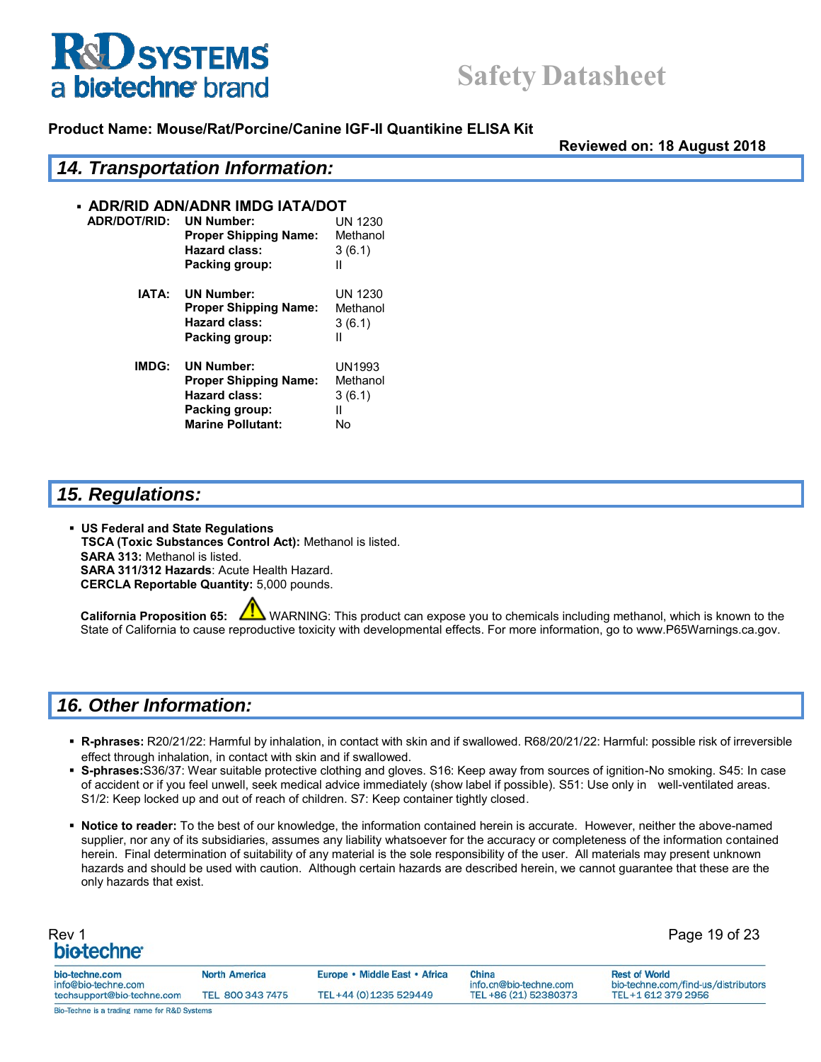



**Reviewed on: 18 August 2018**

|              | <b>14. Transportation Information:</b> |                |  |  |
|--------------|----------------------------------------|----------------|--|--|
|              | • ADR/RID ADN/ADNR IMDG IATA/DOT       |                |  |  |
| ADR/DOT/RID: | <b>UN Number:</b>                      | <b>UN 1230</b> |  |  |
|              | <b>Proper Shipping Name:</b>           | Methanol       |  |  |
|              | <b>Hazard class:</b>                   | 3(6.1)         |  |  |
|              | Packing group:                         | Ш              |  |  |
| IATA:        | <b>UN Number:</b>                      | <b>UN 1230</b> |  |  |
|              | <b>Proper Shipping Name:</b>           | Methanol       |  |  |
|              | <b>Hazard class:</b>                   | 3(6.1)         |  |  |
|              | Packing group:                         | Ш              |  |  |
| IMDG:        | <b>UN Number:</b>                      | UN1993         |  |  |
|              | <b>Proper Shipping Name:</b>           | Methanol       |  |  |
|              | <b>Hazard class:</b>                   | 3(6.1)         |  |  |
|              | Packing group:                         | Ш              |  |  |
|              | <b>Marine Pollutant:</b>               | No             |  |  |

#### *15. Regulations:*

 **US Federal and State Regulations TSCA (Toxic Substances Control Act):** Methanol is listed. **SARA 313:** Methanol is listed. **SARA 311/312 Hazards**: Acute Health Hazard. **CERCLA Reportable Quantity:** 5,000 pounds.

**California Proposition 65:** WARNING: This product can expose you to chemicals including methanol, which is known to the State of California to cause reproductive toxicity with developmental effects. For more information, go to www.P65Warnings.ca.gov.

### *16. Other Information:*

- **R-phrases:** R20/21/22: Harmful by inhalation, in contact with skin and if swallowed. R68/20/21/22: Harmful: possible risk of irreversible effect through inhalation, in contact with skin and if swallowed.
- **S-phrases:**S36/37: Wear suitable protective clothing and gloves. S16: Keep away from sources of ignition-No smoking. S45: In case of accident or if you feel unwell, seek medical advice immediately (show label if possible). S51: Use only in well-ventilated areas. S1/2: Keep locked up and out of reach of children. S7: Keep container tightly closed.
- **Notice to reader:** To the best of our knowledge, the information contained herein is accurate. However, neither the above-named supplier, nor any of its subsidiaries, assumes any liability whatsoever for the accuracy or completeness of the information contained herein. Final determination of suitability of any material is the sole responsibility of the user. All materials may present unknown hazards and should be used with caution. Although certain hazards are described herein, we cannot guarantee that these are the only hazards that exist.

| Rev 1<br>bio-techne <sup>®</sup>                  |                      |                               |                                                 | Page 19 of 23                                             |
|---------------------------------------------------|----------------------|-------------------------------|-------------------------------------------------|-----------------------------------------------------------|
| bio-techne.com                                    | <b>North America</b> | Europe • Middle East • Africa | China                                           | <b>Rest of World</b>                                      |
| info@bio-techne.com<br>techsupport@bio-techne.com | TEL 800 343 7475     | TEL+44 (0) 1235 529449        | info.cn@bio-techne.com<br>TEL +86 (21) 52380373 | bio-techne.com/find-us/distributors<br>TEL+1 612 379 2956 |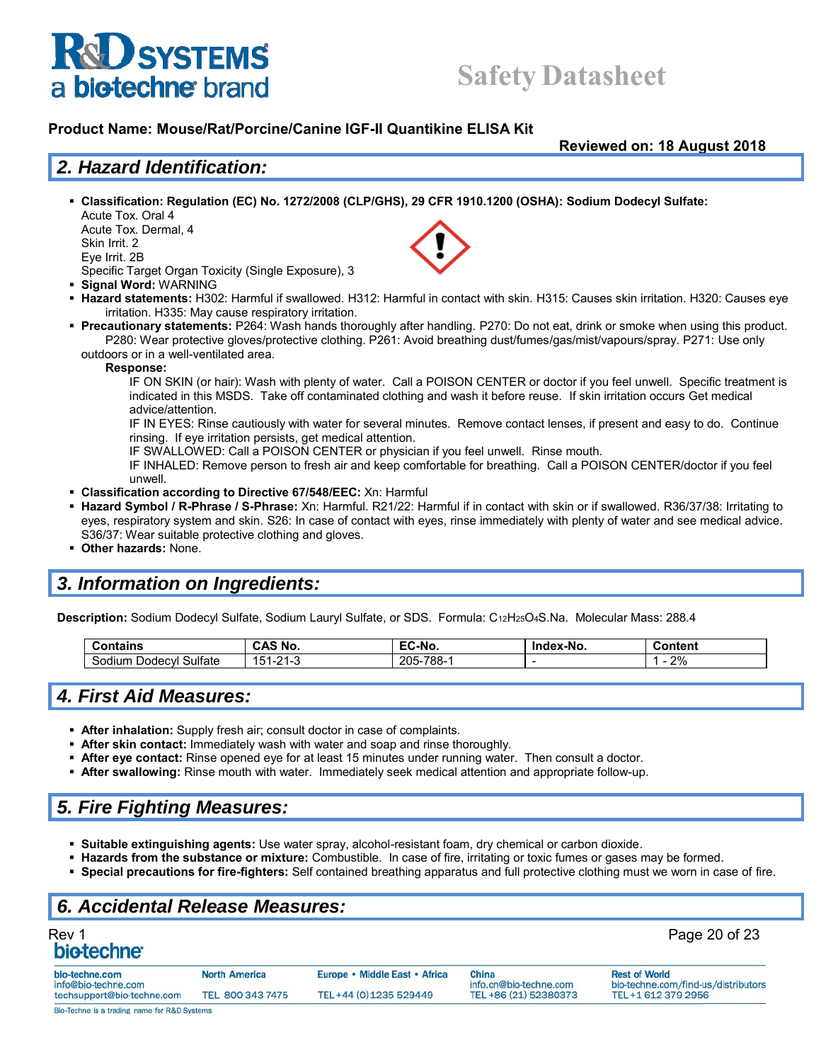## **Safety Datasheet**

#### **Product Name: Mouse/Rat/Porcine/Canine IGF-II Quantikine ELISA Kit**

**Reviewed on: 18 August 2018**

#### *2. Hazard Identification:*

 **Classification: Regulation (EC) No. 1272/2008 (CLP/GHS), 29 CFR 1910.1200 (OSHA): Sodium Dodecyl Sulfate:** Acute Tox. Oral 4

Acute Tox. Dermal, 4 Skin Irrit. 2 Eye Irrit. 2B

Specific Target Organ Toxicity (Single Exposure), 3

- **Signal Word:** WARNING
- **Hazard statements:** H302: Harmful if swallowed. H312: Harmful in contact with skin. H315: Causes skin irritation. H320: Causes eye irritation. H335: May cause respiratory irritation.
- **Precautionary statements:** P264: Wash hands thoroughly after handling. P270: Do not eat, drink or smoke when using this product. P280: Wear protective gloves/protective clothing. P261: Avoid breathing dust/fumes/gas/mist/vapours/spray. P271: Use only outdoors or in a well-ventilated area.
	- **Response:**

IF ON SKIN (or hair): Wash with plenty of water. Call a POISON CENTER or doctor if you feel unwell. Specific treatment is indicated in this MSDS. Take off contaminated clothing and wash it before reuse. If skin irritation occurs Get medical advice/attention.

IF IN EYES: Rinse cautiously with water for several minutes. Remove contact lenses, if present and easy to do. Continue rinsing. If eye irritation persists, get medical attention.

IF SWALLOWED: Call a POISON CENTER or physician if you feel unwell. Rinse mouth.

IF INHALED: Remove person to fresh air and keep comfortable for breathing. Call a POISON CENTER/doctor if you feel unwell.

- **Classification according to Directive 67/548/EEC:** Xn: Harmful
- **Hazard Symbol / R-Phrase / S-Phrase:** Xn: Harmful. R21/22: Harmful if in contact with skin or if swallowed. R36/37/38: Irritating to eyes, respiratory system and skin. S26: In case of contact with eyes, rinse immediately with plenty of water and see medical advice. S36/37: Wear suitable protective clothing and gloves.
- **Other hazards:** None.

#### *3. Information on Ingredients:*

**Description:** Sodium Dodecyl Sulfate, Sodium Lauryl Sulfate, or SDS. Formula: C12H25O4S.Na. Molecular Mass: 288.4

| ⊱ontains<br>⊸or                         | .<br>No<br><b>GAL</b>                        | - -<br>.<br>⊺C-No.     | 'ex-No.<br><b>Inc</b> | Content           |
|-----------------------------------------|----------------------------------------------|------------------------|-----------------------|-------------------|
| Sulfate<br>.<br>-<br>30dium<br>Dodecyl: | $\mathbf{a}$<br>1 6<br>.<br>J<br>$\sim$<br>∼ | ′-788،د<br>ຼາ∩⊏<br>∠∪⊾ |                       | 20/2<br>$\sim$ /0 |

#### *4. First Aid Measures:*

- **After inhalation:** Supply fresh air; consult doctor in case of complaints.
- **After skin contact:** Immediately wash with water and soap and rinse thoroughly.
- **After eye contact:** Rinse opened eye for at least 15 minutes under running water. Then consult a doctor.
- **After swallowing:** Rinse mouth with water. Immediately seek medical attention and appropriate follow-up.

### *5. Fire Fighting Measures:*

- **Suitable extinguishing agents:** Use water spray, alcohol-resistant foam, dry chemical or carbon dioxide.
- **Hazards from the substance or mixture:** Combustible. In case of fire, irritating or toxic fumes or gases may be formed.
- **Special precautions for fire-fighters:** Self contained breathing apparatus and full protective clothing must we worn in case of fire.

#### *6. Accidental Release Measures:*

| Rev 1                   | Page 20 of 23 |
|-------------------------|---------------|
| bio-techne <sup>®</sup> |               |

| bio-techne.com                               | <b>North America</b> | Europe • Middle East • Africa | China                  | <b>Rest of World</b>                |
|----------------------------------------------|----------------------|-------------------------------|------------------------|-------------------------------------|
| info@bio-techne.com                          |                      |                               | info.cn@bio-techne.com | bio-techne.com/find-us/distributors |
| techsupport@bio-techne.com                   | TEL 800 343 7475     | TEL+44 (0) 1235 529449        | TEL +86 (21) 52380373  | TEL+1 612 379 2956                  |
| Bio-Techne is a trading name for R&D Systems |                      |                               |                        |                                     |

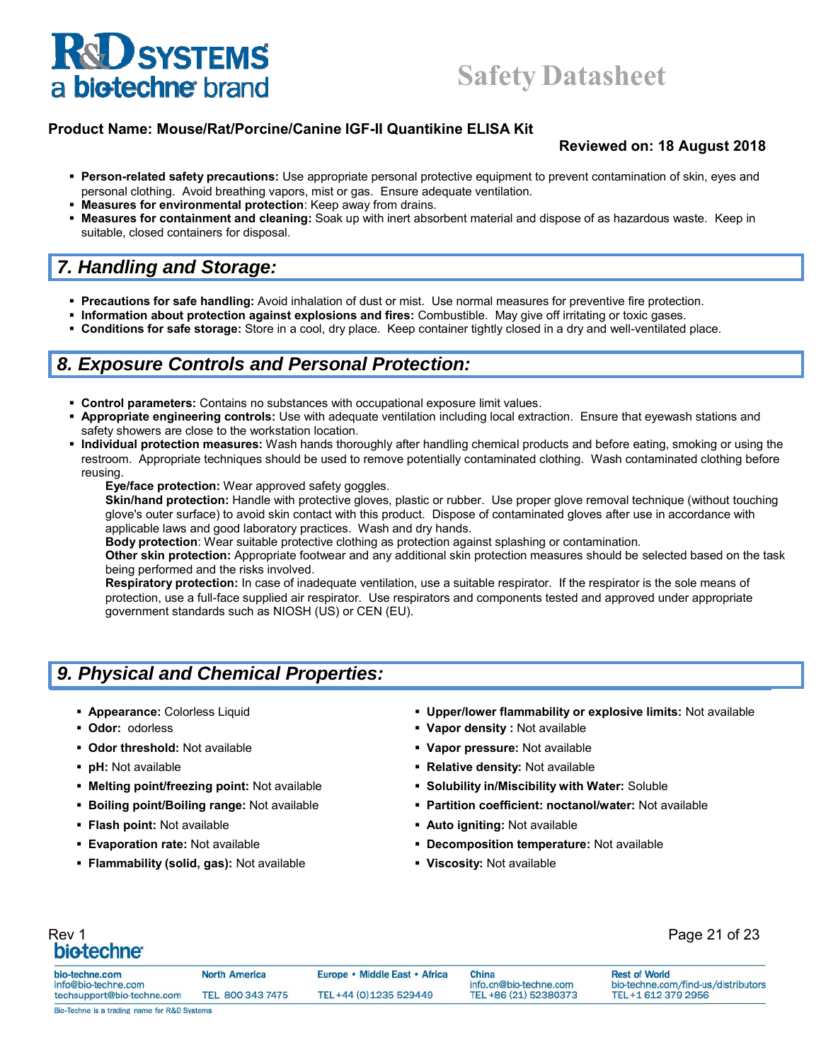#### **Product Name: Mouse/Rat/Porcine/Canine IGF-II Quantikine ELISA Kit**

#### **Reviewed on: 18 August 2018**

- **Person-related safety precautions:** Use appropriate personal protective equipment to prevent contamination of skin, eyes and personal clothing. Avoid breathing vapors, mist or gas. Ensure adequate ventilation.
- **Measures for environmental protection**: Keep away from drains.
- **Measures for containment and cleaning:** Soak up with inert absorbent material and dispose of as hazardous waste. Keep in suitable, closed containers for disposal.

#### *7. Handling and Storage:*

- **Precautions for safe handling:** Avoid inhalation of dust or mist. Use normal measures for preventive fire protection.
- **Information about protection against explosions and fires:** Combustible. May give off irritating or toxic gases.
- **Conditions for safe storage:** Store in a cool, dry place. Keep container tightly closed in a dry and well-ventilated place.

#### *8. Exposure Controls and Personal Protection:*

- **Control parameters:** Contains no substances with occupational exposure limit values.
- **Appropriate engineering controls:** Use with adequate ventilation including local extraction. Ensure that eyewash stations and safety showers are close to the workstation location.
- **Individual protection measures:** Wash hands thoroughly after handling chemical products and before eating, smoking or using the restroom. Appropriate techniques should be used to remove potentially contaminated clothing. Wash contaminated clothing before reusing.

**Eye/face protection:** Wear approved safety goggles.

**Skin/hand protection:** Handle with protective gloves, plastic or rubber. Use proper glove removal technique (without touching glove's outer surface) to avoid skin contact with this product. Dispose of contaminated gloves after use in accordance with applicable laws and good laboratory practices. Wash and dry hands.

**Body protection**: Wear suitable protective clothing as protection against splashing or contamination.

**Other skin protection:** Appropriate footwear and any additional skin protection measures should be selected based on the task being performed and the risks involved.

**Respiratory protection:** In case of inadequate ventilation, use a suitable respirator. If the respirator is the sole means of protection, use a full-face supplied air respirator. Use respirators and components tested and approved under appropriate government standards such as NIOSH (US) or CEN (EU).

### *9. Physical and Chemical Properties:*

- 
- 
- **Odor threshold:** Not available **Vapor pressure:** Not available
- 
- 
- 
- 
- 
- **Flammability (solid, gas):** Not available **Viscosity:** Not available
- **Appearance:** Colorless Liquid **Upper/lower flammability or explosive limits:** Not available
- **Odor:** odorless **Vapor density :** Not available
	-
- **pH:** Not available **Relative density:** Not available
- **Melting point/freezing point: Not available <b>Solubility in/Miscibility with Water:** Soluble
- **Boiling point/Boiling range:** Not available **Partition coefficient: noctanol/water:** Not available
- **Flash point:** Not available *Auto igniting:* **Not available <b>Provide Auto igniting:** Not available
- **Evaporation rate:** Not available **Decomposition temperature:** Not available
	-

## Rev 1 Page 21 of 23

| bio-techne.com<br>info@bio-techne.com<br>techsupport@bio-techne.com | <b>North America</b> | Europe • Middle East • Africa | China<br>info.cn@bio-techne.com<br>TEL +86 (21) 52380373 | <b>Rest of World</b><br>bio-techne.com/find-us/distributors<br>TEL+1 612 379 2956 |
|---------------------------------------------------------------------|----------------------|-------------------------------|----------------------------------------------------------|-----------------------------------------------------------------------------------|
|                                                                     | TEL 800 343 7475     | TEL+44 (0) 1235 529449        |                                                          |                                                                                   |
| Bio-Techne is a trading name for R&D Systems                        |                      |                               |                                                          |                                                                                   |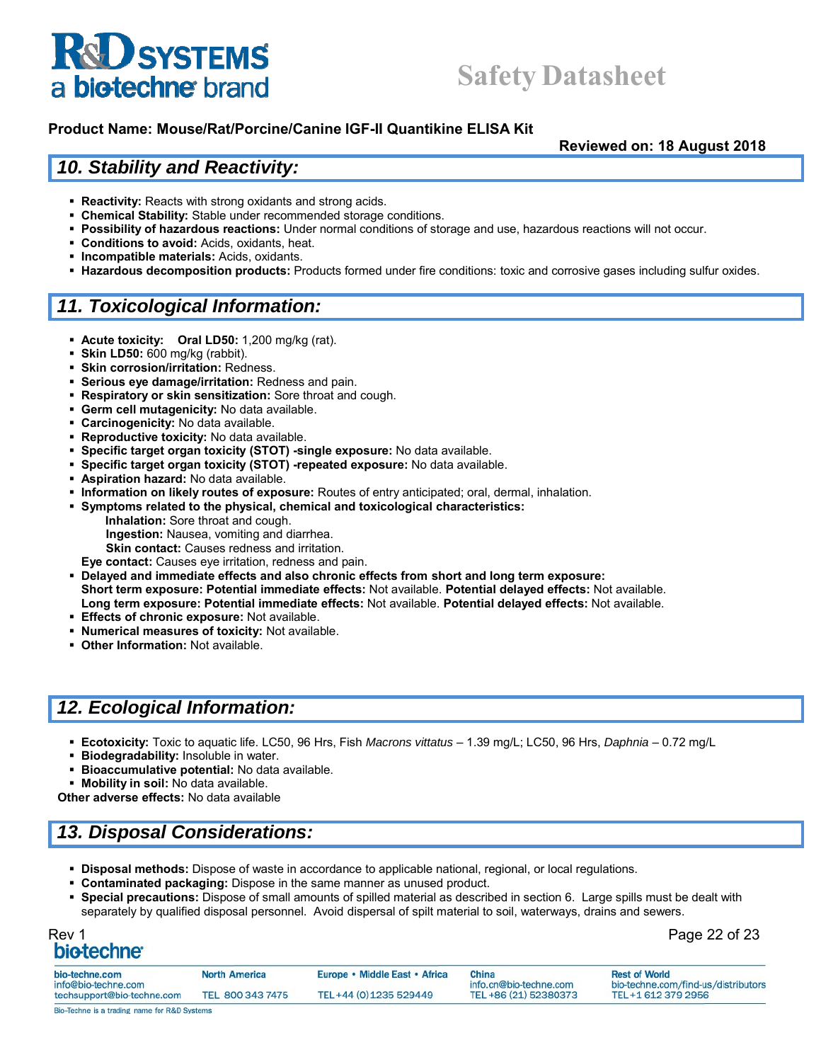## **Safety Datasheet**

#### **Product Name: Mouse/Rat/Porcine/Canine IGF-II Quantikine ELISA Kit**

**Reviewed on: 18 August 2018**

#### *10. Stability and Reactivity:*

- **Reactivity:** Reacts with strong oxidants and strong acids.
- **Chemical Stability:** Stable under recommended storage conditions.
- **Possibility of hazardous reactions:** Under normal conditions of storage and use, hazardous reactions will not occur.
- **Conditions to avoid:** Acids, oxidants, heat.
- **Incompatible materials:** Acids, oxidants.
- **Hazardous decomposition products:** Products formed under fire conditions: toxic and corrosive gases including sulfur oxides.

#### *11. Toxicological Information:*

- **Acute toxicity: Oral LD50:** 1,200 mg/kg (rat).
- **Skin LD50:** 600 mg/kg (rabbit).
- **Skin corrosion/irritation:** Redness.
- **Serious eye damage/irritation:** Redness and pain.
- **Respiratory or skin sensitization:** Sore throat and cough.
- **Germ cell mutagenicity:** No data available.
- **Carcinogenicity:** No data available.
- **Reproductive toxicity:** No data available.
- **Specific target organ toxicity (STOT) -single exposure:** No data available.
- **Specific target organ toxicity (STOT) -repeated exposure:** No data available.
- **Aspiration hazard:** No data available.
- **Information on likely routes of exposure:** Routes of entry anticipated; oral, dermal, inhalation.
- **Symptoms related to the physical, chemical and toxicological characteristics:** 
	- **Inhalation:** Sore throat and cough.
	- **Ingestion:** Nausea, vomiting and diarrhea.
	- **Skin contact:** Causes redness and irritation.
	- **Eye contact:** Causes eye irritation, redness and pain.
- **Delayed and immediate effects and also chronic effects from short and long term exposure: Short term exposure: Potential immediate effects:** Not available. **Potential delayed effects:** Not available. **Long term exposure: Potential immediate effects:** Not available. **Potential delayed effects:** Not available.
- **Effects of chronic exposure:** Not available.
- **Numerical measures of toxicity:** Not available.
- **Other Information:** Not available.

#### *12. Ecological Information:*

- **Ecotoxicity:** Toxic to aquatic life. LC50, 96 Hrs, Fish *Macrons vittatus*  1.39 mg/L; LC50, 96 Hrs, *Daphnia*  0.72 mg/L
- **Biodegradability:** Insoluble in water.
- **Bioaccumulative potential:** No data available.
- **Mobility in soil:** No data available.

**Other adverse effects:** No data available

### *13. Disposal Considerations:*

- **Disposal methods:** Dispose of waste in accordance to applicable national, regional, or local regulations.
- **Contaminated packaging:** Dispose in the same manner as unused product.
- **Special precautions:** Dispose of small amounts of spilled material as described in section 6. Large spills must be dealt with separately by qualified disposal personnel. Avoid dispersal of spilt material to soil, waterways, drains and sewers.

## Rev 1 Page 22 of 23

| bio-techne.com<br>info@bio-techne.com<br>techsupport@bio-techne.com | <b>North America</b> | Europe • Middle East • Africa<br>TEL+44 (0) 1235 529449 | China<br>info.cn@bio-techne.com<br>TEL +86 (21) 52380373 | <b>Rest of World</b><br>bio-techne.com/find-us/distributors<br>TEL+1 612 379 2956 |
|---------------------------------------------------------------------|----------------------|---------------------------------------------------------|----------------------------------------------------------|-----------------------------------------------------------------------------------|
|                                                                     | TEL 800 343 7475     |                                                         |                                                          |                                                                                   |
| Bio-Techne is a trading name for R&D Systems                        |                      |                                                         |                                                          |                                                                                   |